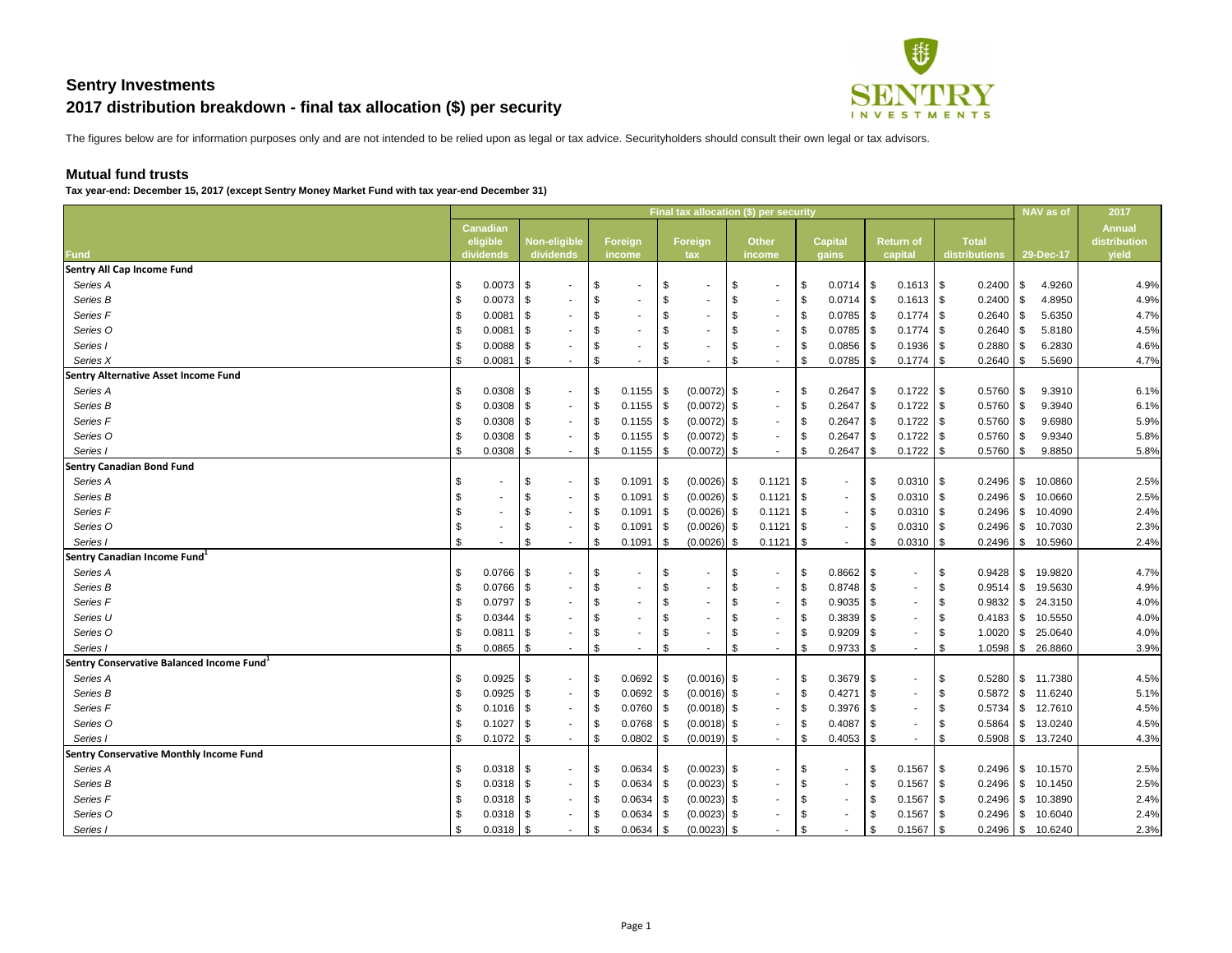

### **Mutual fund trusts**

Tax year-end: December 15, 2017 (except Sentry Money Market Fund with tax year-end December 31)

|                                                       |               |                 |      |                     |      |                 |                           |                          |      | Final tax allocation (\$) per security |               |                 |      |                  |      |                 |            | NAV as of             | 2017          |
|-------------------------------------------------------|---------------|-----------------|------|---------------------|------|-----------------|---------------------------|--------------------------|------|----------------------------------------|---------------|-----------------|------|------------------|------|-----------------|------------|-----------------------|---------------|
|                                                       |               | <b>Canadian</b> |      |                     |      |                 |                           |                          |      |                                        |               |                 |      |                  |      |                 |            |                       | <b>Annual</b> |
|                                                       |               | eligible        |      | <b>Non-eligible</b> |      | Foreign         |                           | Foreign                  |      | <b>Other</b>                           |               | <b>Capital</b>  |      | <b>Return of</b> |      | <b>Total</b>    |            |                       | distribution  |
| <b>Fund</b>                                           |               | dividends       |      | dividends           |      | income          |                           | tax                      |      | income                                 |               | gains           |      | capital          |      | distributions   |            | 29-Dec-17             | yield         |
| <b>Sentry All Cap Income Fund</b>                     |               |                 |      |                     |      |                 |                           |                          |      |                                        |               |                 |      |                  |      |                 |            |                       |               |
| Series A                                              | \$            | $0.0073$ \$     |      | $\sim$              | \$   | $\sim$          | $\sqrt[6]{3}$             | $\blacksquare$           | \$   | $\sim$                                 | $\sqrt{5}$    | $0.0714$ \\$    |      | $0.1613$ \$      |      | 0.2400          | l \$       | 4.9260                | 4.9%          |
| Series B                                              |               | $0.0073$ \$     |      | $\sim$              | \$   |                 | $\boldsymbol{\mathsf{S}}$ |                          | - \$ | $\sim$                                 | \$            | $0.0714$ \$     |      | $0.1613$ \$      |      | 0.2400          |            | 4.8950                | 4.9%          |
| Series F                                              |               | 0.0081          | - \$ |                     |      |                 | \$                        | ۰.                       | -\$  | $\sim$                                 | -\$           | $0.0785$ \$     |      | $0.1774$ \\$     |      | 0.2640          | l Si       | 5.6350                | 4.7%          |
| Series O                                              |               | 0.0081          | - \$ |                     |      |                 | $\sqrt[6]{2}$             |                          |      | $\overline{\phantom{a}}$               |               | 0.0785          | - \$ | $0.1774$ \\$     |      | 0.2640          |            | 5.8180                | 4.5%          |
| Series I                                              |               | $0.0088$ \ \ \$ |      |                     |      |                 | \$                        |                          | - 3  | $\sim$                                 |               | $0.0856$ \$     |      | $0.1936$ \$      |      | 0.2880          |            | 6.2830                | 4.6%          |
| Series X                                              |               | 0.0081          | - \$ |                     | \$   | $\sim$          | \$                        | $\sim$                   | S    | $\sim$                                 | \$            | 0.0785          | - \$ | $0.1774$ \\$     |      | 0.2640          | - \$       | 5.5690                | 4.7%          |
| <b>Sentry Alternative Asset Income Fund</b>           |               |                 |      |                     |      |                 |                           |                          |      |                                        |               |                 |      |                  |      |                 |            |                       |               |
| Series A                                              |               | $0.0308$ \ \ \$ |      | $\sim$              | - \$ |                 |                           | $(0.0072)$ \$            |      | $\sim$                                 | -\$           | $0.2647$ \ \ \$ |      |                  |      | 0.5760          | l \$       | 9.3910                | 6.1%          |
| Series B                                              |               | $0.0308$ \ \$   |      | $\sim$              | - \$ | $0.1155$   \$   |                           | $(0.0072)$ \$            |      | $\sim$                                 | \$            | $0.2647$ \ \ \$ |      | $0.1722$ \$      |      | 0.5760          | l \$       | 9.3940                | 6.1%          |
| Series F                                              |               | $0.0308$ \ \$   |      |                     | - \$ | $0.1155$   \$   |                           | $(0.0072)$ \$            |      | $\overline{\phantom{a}}$               |               | 0.2647          | - \$ |                  |      | 0.5760          | 8 S        | 9.6980                | 5.9%          |
| Series O                                              |               | $0.0308$ \ \$   |      | $\sim$              | - 5  | $0.1155$   \$   |                           | $(0.0072)$ \$            |      | $\sim$                                 | -\$           | $0.2647$ \ \ \$ |      |                  |      | 0.5760          | l \$       | 9.9340                | 5.8%          |
| Series I                                              |               | 0.0308          | - \$ |                     | \$   |                 |                           | $(0.0072)$ \$            |      | $\sim$                                 | \$            | 0.2647          | - \$ |                  |      | $0.5760$   \$   |            | 9.8850                | 5.8%          |
| <b>Sentry Canadian Bond Fund</b>                      |               |                 |      |                     |      |                 |                           |                          |      |                                        |               |                 |      |                  |      |                 |            |                       |               |
| Series A                                              |               |                 | - \$ | $\sim$              | -5   | 0.1091          | $\sqrt{3}$                | $(0.0026)$ \$            |      | 0.1121                                 |               | $\sim$          | - \$ | $0.0310$ \\$     |      | 0.2496          | l \$       | 10.0860               | 2.5%          |
| Series B                                              |               |                 | \$   | $\sim$              | \$   | 0.1091          | $\sqrt{3}$                | $(0.0026)$ \$            |      | 0.1121                                 | $\frac{1}{3}$ | $\sim$          | \$   | $0.0310$ \\$     |      | $0.2496$ \ \ \$ |            | 10.0660               | 2.5%          |
| Series F                                              |               |                 | \$   | $\sim$              | - 5  | 0.1091          | l \$                      | $(0.0026)$ \$            |      | $0.1121$ \\$                           |               | $\sim$          | - \$ | $0.0310$ \\$     |      | 0.2496          | l \$       | 10.4090               | 2.4%          |
| Series O                                              |               |                 | \$   |                     | - \$ | 0.1091          | l \$                      | $(0.0026)$ \$            |      | 0.1121                                 |               | $\sim$          | \$   | $0.0310$ \\$     |      | $0.2496$ \ \ \$ |            | 10.7030               | 2.3%          |
| Series I                                              | $\frac{1}{2}$ | $\sim$          | \$   | $\sim$              | \$   | 0.1091          | l \$                      | $(0.0026)$ \$            |      | $0.1121$ \$                            |               | $\sim$          | -\$  | $0.0310$ \$      |      | $0.2496$ \ \ \$ |            | 10.5960               | 2.4%          |
| Sentry Canadian Income Fund <sup>1</sup>              |               |                 |      |                     |      |                 |                           |                          |      |                                        |               |                 |      |                  |      |                 |            |                       |               |
| Series A                                              |               | $0.0766$ \ \$   |      | $\sim$              |      |                 | \$                        | $\blacksquare$           | -\$  | $\sim$                                 | -\$           | $0.8662$ \ \$   |      | $\sim$           |      | 0.9428          | $\vert$ \$ | 19.9820               | 4.7%          |
| Series B                                              |               | $0.0766$ \ \$   |      |                     | \$   |                 | \$                        | $\blacksquare$           | -\$  | $\sim$                                 | \$            | 0.8748          | l \$ | $\sim$           | - \$ | $0.9514$ \\$    |            | 19.5630               | 4.9%          |
| Series F                                              |               | 0.0797          | - \$ |                     |      |                 | \$                        | $\overline{\phantom{a}}$ |      | $\overline{\phantom{a}}$               | -\$           | $0.9035$ \ \ \$ |      | $\sim$           |      | 0.9832          | l \$       | 24.3150               | 4.0%          |
| Series U                                              |               | 0.0344          | - \$ |                     |      | $\sim$          | \$                        | ۰.                       | - 3  | $\sim$                                 | -\$           | 0.3839          | l \$ | $\sim$           |      |                 |            | 10.5550               | 4.0%          |
| Series O                                              |               | $0.0811$ \\$    |      |                     |      |                 | \$                        |                          |      |                                        |               | $0.9209$ \$     |      |                  |      | 1.0020          | 8          | 25.0640               | 4.0%          |
| Series I                                              |               | $0.0865$ \$     |      |                     |      |                 | \$                        |                          |      |                                        | \$            | $0.9733$ \$     |      |                  |      |                 |            | 26.8860               | 3.9%          |
| Sentry Conservative Balanced Income Fund <sup>1</sup> |               |                 |      |                     |      |                 |                           |                          |      |                                        |               |                 |      |                  |      |                 |            |                       |               |
| Series A                                              | \$            | $0.0925$ \$     |      | $\sim$              | \$   | $0.0692$ \ \$   |                           | $(0.0016)$ \$            |      | $\sim$                                 | l \$          | $0.3679$ \$     |      |                  | \$   |                 |            | $0.5280$ \ \$ 11.7380 | 4.5%          |
| Series B                                              |               | $0.0925$   \$   |      | $\sim$              | -\$  | 0.0692          | - S                       | $(0.0016)$ \$            |      | $\sim$                                 |               | $0.4271$ \\$    |      |                  |      |                 |            | 11.6240               | 5.1%          |
| Series F                                              |               | $0.1016$ \ \$   |      | $\sim$              | - \$ | 0.0760          | <b>\$</b>                 | $(0.0018)$ \$            |      | $\sim$                                 |               | $0.3976$ \$     |      |                  |      |                 |            | 12.7610               | 4.5%          |
| Series O                                              |               |                 |      | $\sim$              | - \$ | 0.0768          | l \$                      | $(0.0018)$ \$            |      | $\overline{\phantom{a}}$               |               | $0.4087$ \ \ \$ |      |                  |      | $0.5864$ \ \ \$ |            | 13.0240               | 4.5%          |
| Series I                                              |               | $0.1072$ \$     |      |                     | - \$ | 0.0802          | l \$                      | $(0.0019)$ \$            |      |                                        | \$            | $0.4053$ \$     |      |                  |      | $0.5908$ \$     |            | 13.7240               | 4.3%          |
| <b>Sentry Conservative Monthly Income Fund</b>        |               |                 |      |                     |      |                 |                           |                          |      |                                        |               |                 |      |                  |      |                 |            |                       |               |
| Series A                                              | \$            | $0.0318$ \ \ \$ |      | $\sim$              | - \$ | $0.0634$ \ \ \$ |                           | $(0.0023)$ \$            |      | $\overline{\phantom{a}}$               |               |                 | \$   | $0.1567$ \$      |      |                 |            | $0.2496$ \ \$ 10.1570 | 2.5%          |
| Series B                                              |               |                 |      |                     | - \$ |                 |                           | $(0.0023)$ \$            |      |                                        |               |                 | - \$ | $0.1567$ \ \ \$  |      |                 |            | 10.1450               | 2.5%          |
| Series F                                              |               | $0.0318$ \ \ \$ |      |                     | - \$ | $0.0634$ \ \ \$ |                           | $(0.0023)$ \$            |      |                                        |               |                 | \$   | $0.1567$ \$      |      |                 |            | 10.3890               | 2.4%          |
| Series O                                              |               | $0.0318$ \$     |      |                     | - 5  | $0.0634$ \ \ \$ |                           | $(0.0023)$ \$            |      |                                        |               |                 | - \$ | $0.1567$ \ \ \$  |      |                 |            | 10.6040               | 2.4%          |
| Series I                                              |               | $0.0318$ \$     |      |                     | \$   | $0.0634$ \\$    |                           | $(0.0023)$ \$            |      |                                        | \$            |                 | -\$  | $0.1567$ \$      |      |                 |            | $0.2496$ \ \$ 10.6240 | 2.3%          |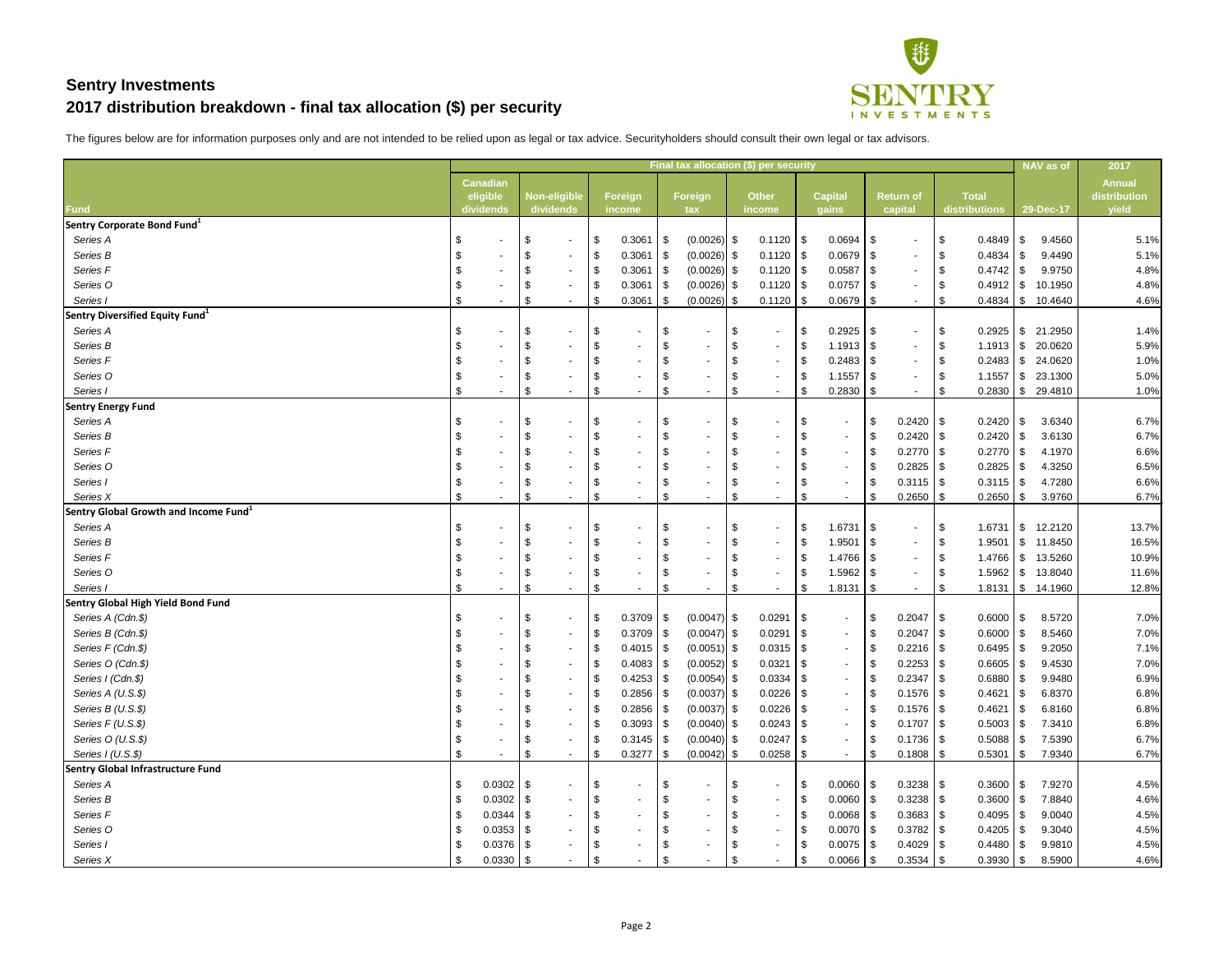

|                                                   |                   |                           |                          |            |                 |            |                | Final tax allocation (\$) per security |                           |                |      |                  |                       |                 | NAV as of             | 2017          |
|---------------------------------------------------|-------------------|---------------------------|--------------------------|------------|-----------------|------------|----------------|----------------------------------------|---------------------------|----------------|------|------------------|-----------------------|-----------------|-----------------------|---------------|
|                                                   | <b>Canadian</b>   |                           |                          |            |                 |            |                |                                        |                           |                |      |                  |                       |                 |                       | <b>Annual</b> |
|                                                   | eligible          |                           | <b>Non-eligible</b>      |            | Foreign         |            | <b>Foreign</b> | <b>Other</b>                           |                           | <b>Capital</b> |      | <b>Return of</b> | <b>Total</b>          |                 |                       | distribution  |
| <b>Fund</b>                                       | dividends         |                           | dividends                |            | income          |            | tax            | income                                 |                           | gains          |      | capital          | distributions         |                 | 29-Dec-17             | yield         |
| Sentry Corporate Bond Fund <sup>1</sup>           |                   |                           |                          |            |                 |            |                |                                        |                           |                |      |                  |                       |                 |                       |               |
| Series A                                          | \$                | \$                        | $\sim$                   | $\sqrt{3}$ | 0.3061          | $\sqrt{3}$ | $(0.0026)$ \$  |                                        |                           | 0.0694         | \$   | $\sim$           | $0.4849$ \ \$<br>  \$ |                 | 9.4560                | 5.1%          |
| Series B                                          |                   | -\$                       | $\sim$                   | -\$        | 0.3061          | - SS       | $(0.0026)$ \$  | $0.1120$ \\$                           |                           | 0.0679         | \$   | $\sim$           | 0.4834                | l \$            | 9.4490                | 5.1%          |
| Series F                                          |                   | -\$                       | $\sim$                   | - \$       | 0.3061          | l Si       | $(0.0026)$ \$  | $0.1120$ \\$                           |                           | $0.0587$ \$    |      | $\sim$           | $0.4742$ \ \$<br>8    |                 | 9.9750                | 4.8%          |
| Series O                                          |                   | - \$                      | $\sim$                   | -\$        | 0.3061          | l SS       | $(0.0026)$ \$  |                                        |                           | $0.0757$ \\$   |      | $\sim$           | $0.4912$ \$           |                 | 10.1950               | 4.8%          |
| Series I                                          | \$                | \$                        |                          | \$         | 0.3061          | S.         | $(0.0026)$ \$  | 0.1120                                 | - \$                      | 0.0679         | \$   | $\sim$           | $0.4834$ \ \ \$       |                 | 10.4640               | 4.6%          |
| Sentry Diversified Equity Fund <sup>1</sup>       |                   |                           |                          |            |                 |            |                |                                        |                           |                |      |                  |                       |                 |                       |               |
| Series A                                          | \$                | \$                        | $\sim$                   | -\$        | $\sim$          | \$         | ۰.             | \$<br>$\overline{\phantom{a}}$         | \$                        | $0.2925$ \$    |      | $\sim$           | $\sqrt{3}$            |                 | 21.2950               | 1.4%          |
| Series B                                          |                   | - \$                      |                          |            |                 | S          |                | S                                      | \$                        | 1.1913         | \$   | $\sim$           | $1.1913$ \$<br>- \$   |                 | 20.0620               | 5.9%          |
| Series F                                          |                   | \$                        |                          |            |                 | \$.        |                | \$                                     | \$                        | 0.2483         | \$   | $\sim$           | $0.2483$ \$<br>∣\$    |                 | 24.0620               | 1.0%          |
| Series O                                          |                   |                           |                          |            |                 | S          |                | - 3                                    | \$                        | 1.1557         | \$   | $\sim$           | 1.1557                | l \$            | 23.1300               | 5.0%          |
| Series I                                          | \$                | \$                        |                          | \$         |                 | \$         | ٠              | $\boldsymbol{\mathsf{\$}}$             | \$                        | 0.2830         | \$   | $\sim$           | $0.2830$ \ \ \$       |                 | 29.4810               | 1.0%          |
| <b>Sentry Energy Fund</b>                         |                   |                           |                          |            |                 |            |                |                                        |                           |                |      |                  |                       |                 |                       |               |
| Series A                                          | \$                | \$                        | $\sim$                   | -\$        |                 | \$         |                | \$                                     | \$                        | $\sim$         | \$   | $0.2420$ \ \$    |                       |                 | 3.6340                | 6.7%          |
| Series B                                          |                   |                           | $\sim$                   |            |                 | \$         |                | \$                                     | \$                        | $\sim$         | \$   |                  | 0.2420                | l \$            | 3.6130                | 6.7%          |
| Series <sub>F</sub>                               |                   | - \$                      |                          |            |                 | \$.        |                | \$                                     | \$                        | $\sim$         | \$   | $0.2770$ \\$     | $0.2770$ \\$          |                 | 4.1970                | 6.6%          |
| Series O                                          |                   |                           |                          |            |                 |            |                | S                                      |                           | $\sim$         | \$   | $0.2825$   \$    | 0.2825                | l S             | 4.3250                | 6.5%          |
| Series I                                          |                   | - \$                      |                          |            |                 | \$         |                | \$                                     | \$                        |                | \$   |                  | $0.3115$ \\$          |                 | 4.7280                | 6.6%          |
| Series X                                          | \$                | \$                        |                          | \$         | $\sim$          | \$         | $\sim$         | \$                                     | $\boldsymbol{\mathsf{S}}$ | $\sim$         | -S   | 0.2650           |                       | $0.2650$ \ \ \$ | 3.9760                | 6.7%          |
| Sentry Global Growth and Income Fund <sup>1</sup> |                   |                           |                          |            |                 |            |                |                                        |                           |                |      |                  |                       |                 |                       |               |
| Series A                                          |                   | -\$                       | $\sim$                   |            |                 | \$         |                | -\$                                    | \$                        | 1.6731         | \$   | $\sim$           | 1.6731<br>- \$        | <u>  \$</u>     | 12.2120               | 13.7%         |
| Series B                                          |                   | -\$                       |                          |            |                 |            |                | \$                                     | \$                        | 1.9501         | \$   | $\sim$           | 1.9501<br>∣\$         | \$              | 11.8450               | 16.5%         |
| Series F                                          |                   |                           |                          |            |                 | \$.        |                | S                                      | - \$                      | 1.4766         | -\$  | $\sim$           | $1.4766$ \ \$         |                 | 13.5260               | 10.9%         |
| Series O                                          |                   |                           |                          |            |                 | \$         |                | -\$                                    | \$                        | 1.5962         | \$   | $\sim$           | $1.5962$ \$           |                 | 13.8040               | 11.6%         |
| Series I                                          |                   | - \$                      |                          | \$         | $\sim$          | \$         |                | - \$                                   | \$                        | 1.8131         | -\$  | $\sim$           | 1.8131                |                 | $\frac{1}{3}$ 14.1960 | 12.8%         |
| <b>Sentry Global High Yield Bond Fund</b>         |                   |                           |                          |            |                 |            |                |                                        |                           |                |      |                  |                       |                 |                       |               |
| Series A (Cdn.\$)                                 | \$                | \$                        | $\overline{\phantom{a}}$ | -\$        | $0.3709$ \$     |            | $(0.0047)$ \$  | $0.0291$ \$                            |                           |                | \$   | $0.2047$ \$      |                       | $0.6000$ \ \$   | 8.5720                | 7.0%          |
| Series B (Cdn.\$)                                 | \$                | $\boldsymbol{\mathsf{S}}$ | $\sim$                   | \$         | $0.3709$ \ \$   |            | $(0.0047)$ \$  | $0.0291$ \\$                           |                           |                | \$   | $0.2047$ \$      | $0.6000$ \ \$         |                 | 8.5460                | 7.0%          |
| Series F (Cdn.\$)                                 |                   | \$                        |                          | ∣\$        | $0.4015$ \\$    |            | $(0.0051)$ \$  | $0.0315$ \$                            |                           |                | \$   |                  | $0.6495$ \ \$         |                 | 9.2050                | 7.1%          |
| Series O (Cdn.\$)                                 |                   | -\$                       | $\blacksquare$           |            | $0.4083$ \$     |            | $(0.0052)$ \$  | $0.0321$ \ \$                          |                           |                | \$   |                  | $0.6605$ \ \$         |                 | 9.4530                | 7.0%          |
| Series I (Cdn.\$)                                 |                   | -\$                       |                          | ∣\$        | $0.4253$ \$     |            | $(0.0054)$ \$  |                                        |                           |                | \$   | $0.2347$ \\$     | $0.6880$ \ \$         |                 | 9.9480                | 6.9%          |
| Series A (U.S.\$)                                 |                   | \$                        | $\sim$                   | ∣\$        | $0.2856$ \$     |            | $(0.0037)$ \$  | $0.0226$ \ \$                          |                           |                | \$   | $0.1576$ \$      | 0.4621                | l S             | 6.8370                | 6.8%          |
| Series B (U.S.\$)                                 |                   | -\$                       |                          | - \$       | 0.2856          | -SS        | $(0.0037)$ \$  |                                        |                           |                | - \$ |                  | 0.4621                | l \$            | 6.8160                | 6.8%          |
| Series $F(U.S.\$ \$)                              |                   | -\$                       | $\blacksquare$           | - \$       | $0.3093$ \$     |            | $(0.0040)$ \$  |                                        |                           |                | \$   | $0.1707$ \\$     | $0.5003$ \ \ \$       |                 | 7.3410                | 6.8%          |
| Series O (U.S.\$)                                 |                   | -\$                       |                          | S          | $0.3145$   \$   |            | $(0.0040)$ \$  | $0.0247$ \\$                           |                           |                | \$   | $0.1736$ \$      | $0.5088$ \ \ \$       |                 | 7.5390                | 6.7%          |
| Series I (U.S.\$)                                 | \$                | -\$                       |                          | -\$        | $0.3277$ \ \ \$ |            | $(0.0042)$ \$  | $0.0258$ \ \ \$                        |                           |                | \$   | $0.1808$ \$      | 0.5301                | $\vert$ \$      | 7.9340                | 6.7%          |
| <b>Sentry Global Infrastructure Fund</b>          |                   |                           |                          |            |                 |            |                |                                        |                           |                |      |                  |                       |                 |                       |               |
| Series A                                          | \$<br>$0.0302$ \$ |                           |                          |            |                 | \$         |                | - \$                                   | \$                        | $0.0060$ \$    |      |                  | $0.3600$ \$           |                 | 7.9270                | 4.5%          |
| Series B                                          | $0.0302$ \ \$     |                           |                          |            |                 | \$         |                | \$                                     | \$                        | $0.0060$ \ \$  |      | $0.3238$ \$      | $0.3600$ \ \$         |                 | 7.8840                | 4.6%          |
| Series F                                          | $0.0344$ \ \$     |                           |                          |            |                 | \$         |                | \$                                     | \$                        | 0.0068         | \$   | $0.3683$ \$      | $0.4095$ \ \$         |                 | 9.0040                | 4.5%          |
| Series O                                          | $0.0353$ \ \ \$   |                           |                          |            |                 | \$         |                | \$                                     | \$                        | $0.0070$ \\$   |      | $0.3782$ \$      |                       |                 | 9.3040                | 4.5%          |
| Series I                                          | \$<br>$0.0376$ \$ |                           |                          |            |                 | \$         |                |                                        | \$                        | 0.0075         | -\$  | $0.4029$ \$      | $0.4480$ \ \$         |                 | 9.9810                | 4.5%          |
| Series X                                          | $0.0330$ \$       |                           | $\sim$                   | -\$        |                 | \$         |                | \$                                     | \$                        | $0.0066$ \$    |      | $0.3534$ \\$     | $0.3930$ \$           |                 | 8.5900                | 4.6%          |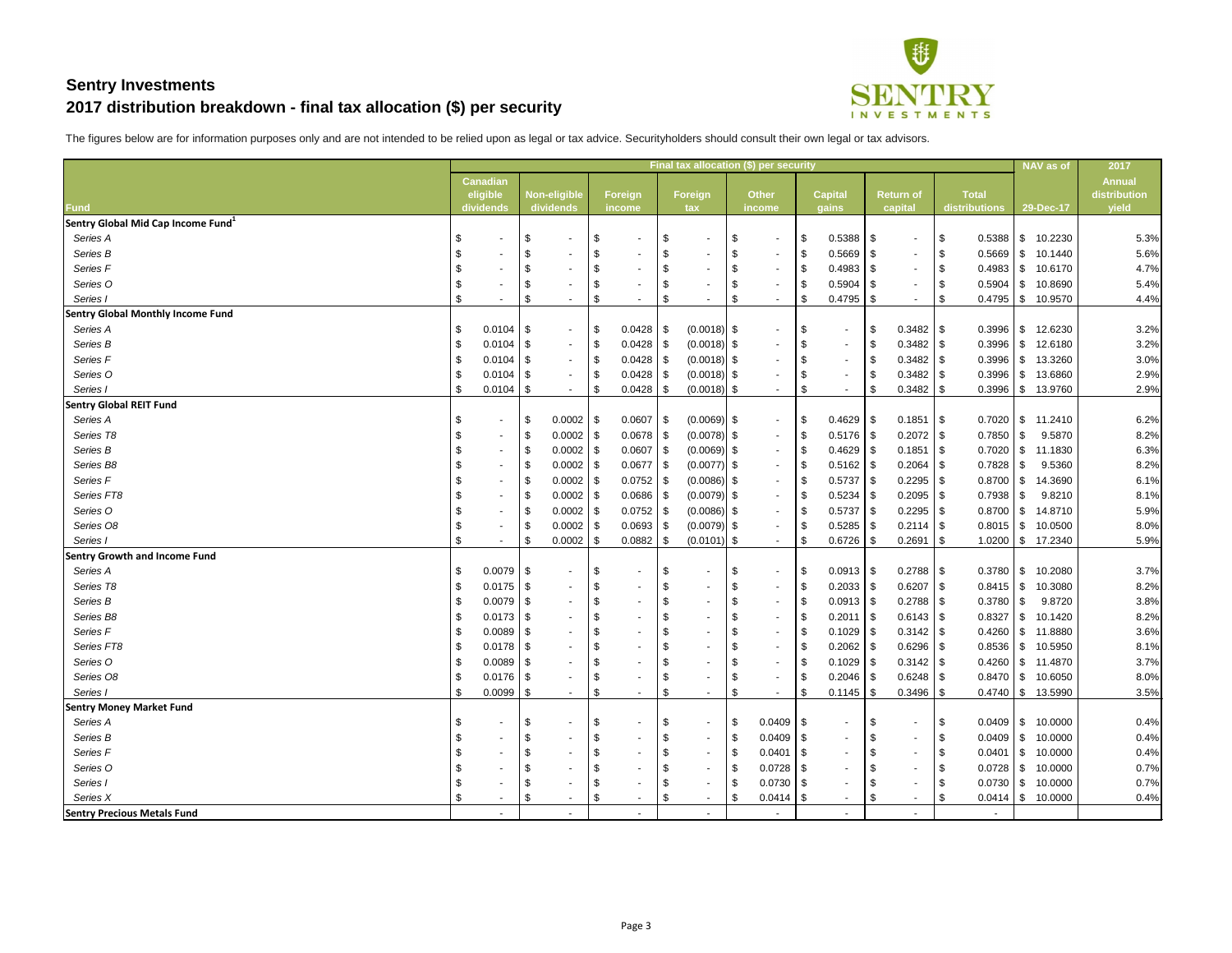

|                                                |                           |                 |      |              |            |                 |      |                          |                            | Final tax allocation (\$) per security |      |                 |                            |                          |      |                 |            | NAV as of             | 2017          |
|------------------------------------------------|---------------------------|-----------------|------|--------------|------------|-----------------|------|--------------------------|----------------------------|----------------------------------------|------|-----------------|----------------------------|--------------------------|------|-----------------|------------|-----------------------|---------------|
|                                                |                           | <b>Canadian</b> |      |              |            |                 |      |                          |                            |                                        |      |                 |                            |                          |      |                 |            |                       | <b>Annual</b> |
|                                                |                           | eligible        |      | Non-eligible |            | Foreign         |      | <b>Foreign</b>           |                            | <b>Other</b>                           |      | <b>Capital</b>  |                            | <b>Return of</b>         |      | <b>Total</b>    |            |                       | distribution  |
| <b>Fund</b>                                    |                           | dividends       |      | dividends    |            | income          |      | tax                      |                            | income                                 |      | gains           |                            | capital                  |      | distributions   |            | 29-Dec-17             | yield         |
| Sentry Global Mid Cap Income Fund <sup>1</sup> |                           |                 |      |              |            |                 |      |                          |                            |                                        |      |                 |                            |                          |      |                 |            |                       |               |
| Series A                                       | \$                        | $\sim$          | \$   | $\sim$       | $^{\circ}$ | $\blacksquare$  | \$   | $\blacksquare$           | \$                         | $\sim$                                 | \$   | $0.5388$ \ \ \$ |                            | $\sim$                   | \$   | 0.5388          | \$         | 10.2230               | 5.3%          |
| Series B                                       | \$                        |                 | \$   | $\sim$       | -\$        |                 | \$   |                          | \$                         |                                        | - \$ | 0.5669          | $\boldsymbol{\mathcal{F}}$ | $\sim$                   | -\$  | 0.5669          | $\sqrt{3}$ | 10.1440               | 5.6%          |
| Series <sub>F</sub>                            |                           |                 | \$   | $\sim$       |            | $\sim$          | \$   | ٠                        | \$                         |                                        | - \$ | 0.4983          | \$                         | $\sim$                   |      | 0.4983          | - \$       | 10.6170               | 4.7%          |
| Series O                                       |                           |                 |      | $\sim$       |            | $\blacksquare$  | \$.  |                          | -\$                        | $\sim$                                 | \$   | 0.5904          | \$                         | $\sim$                   |      | $0.5904$ \$     |            | 10.8690               | 5.4%          |
| Series I                                       | \$                        |                 |      |              | \$         | ۰.              | \$   | ٠                        | \$                         |                                        | \$   | 0.4795          | \$                         | $\overline{\phantom{a}}$ |      | 0.4795          | \$         | 10.9570               | 4.4%          |
| <b>Sentry Global Monthly Income Fund</b>       |                           |                 |      |              |            |                 |      |                          |                            |                                        |      |                 |                            |                          |      |                 |            |                       |               |
| Series A                                       | \$                        | $0.0104$ \\$    |      | $\sim$       | $\sqrt{3}$ |                 |      | $(0.0018)$ \$            |                            | $\sim$                                 | \$   | $\sim$          | \$                         |                          |      | 0.3996          | $\sqrt{3}$ | 12.6230               | 3.2%          |
| Series B                                       |                           | $0.0104$ \\$    |      | $\sim$       | - \$       | 0.0428          | S.   | $(0.0018)$ \$            |                            |                                        | \$   | $\sim$          | \$                         | $0.3482$ \ \$            |      | 0.3996          | <b>\$</b>  | 12.6180               | 3.2%          |
| Series <sub>F</sub>                            |                           | $0.0104$ \\$    |      | $\sim$       | \$         | 0.0428          | S.   | $(0.0018)$ \$            |                            |                                        | \$   | $\sim$          | \$                         | $0.3482$ \$              |      | 0.3996          | - \$       | 13.3260               | 3.0%          |
| Series O                                       |                           | $0.0104$ \\$    |      | $\sim$       |            | 0.0428          | S.   | $(0.0018)$ \$            |                            |                                        |      | $\sim$          | \$                         | $0.3482$ \$              |      | 0.3996          | - \$       | 13.6860               | 2.9%          |
| Series I                                       | \$                        | 0.0104          | \$   | $\sim$       | -\$        | 0.0428          | \$   | $(0.0018)$ \$            |                            |                                        | \$   | $\sim$          | \$                         | 0.3482                   |      | 0.3996          | \$         | 13.9760               | 2.9%          |
| <b>Sentry Global REIT Fund</b>                 |                           |                 |      |              |            |                 |      |                          |                            |                                        |      |                 |                            |                          |      |                 |            |                       |               |
| Series A                                       | \$                        |                 | \$   | $0.0002$ \$  |            | $0.0607$ \ \ \$ |      | $(0.0069)$ \$            |                            | $\sim$                                 | \$   | 0.4629          | $\boldsymbol{\mathsf{\$}}$ | $0.1851$ \$              |      | 0.7020          | \$         | 11.2410               | 6.2%          |
| Series T8                                      |                           |                 | \$   | $0.0002$ \$  |            | 0.0678          | \$.  | $(0.0078)$ \$            |                            |                                        | -\$  | 0.5176          | \$                         |                          |      | 0.7850          | - \$       | 9.5870                | 8.2%          |
| Series B                                       |                           |                 | -\$  | $0.0002$ \$  |            | 0.0607          | \$   | $(0.0069)$ \$            |                            |                                        | \$   | 0.4629          | \$                         | $0.1851$ \\$             |      | 0.7020          | $\sqrt{3}$ | 11.1830               | 6.3%          |
| Series B8                                      |                           |                 | - \$ | $0.0002$ \$  |            | 0.0677          | - \$ | $(0.0077)$ \$            |                            |                                        | -\$  | 0.5162          | \$                         |                          |      | 0.7828          | - \$       | 9.5360                | 8.2%          |
| Series F                                       |                           |                 | -\$  | $0.0002$ \$  |            | 0.0752          | S.   | $(0.0086)$ \$            |                            |                                        | \$   | 0.5737          | $\boldsymbol{\mathcal{F}}$ | $0.2295$ \$              |      | 0.8700          | $\sqrt{3}$ | 14.3690               | 6.1%          |
| Series FT8                                     |                           |                 | - \$ | $0.0002$ \$  |            | 0.0686          | S.   | $(0.0079)$ \$            |                            |                                        | - \$ | 0.5234          | \$                         | $0.2095$ \$              |      | 0.7938          | - \$       | 9.8210                | 8.1%          |
| Series O                                       |                           |                 | \$   | $0.0002$ \$  |            | $0.0752$ \$     |      | $(0.0086)$ \$            |                            |                                        | \$   | 0.5737          | $\boldsymbol{\mathcal{F}}$ | $0.2295$ \$              |      | $0.8700$ \$     |            | 14.8710               | 5.9%          |
| Series O8                                      |                           |                 | \$   | $0.0002$ \$  |            | $0.0693$ \$     |      | $(0.0079)$ \$            |                            |                                        | -\$  | 0.5285          | \$                         | $0.2114$ \\$             |      | $0.8015$ \$     |            | 10.0500               | 8.0%          |
| Series I                                       | \$                        |                 | \$   | $0.0002$ \$  |            |                 |      | $(0.0101)$ \$            |                            |                                        | \$   | 0.6726          | \$                         | $0.2691$ \ \$            |      | $1.0200$ \$     |            | 17.2340               | 5.9%          |
| <b>Sentry Growth and Income Fund</b>           |                           |                 |      |              |            |                 |      |                          |                            |                                        |      |                 |                            |                          |      |                 |            |                       |               |
| Series A                                       | $\sqrt[6]{\frac{1}{2}}$   | $0.0079$ \$     |      | $\sim$       | -\$        | $\blacksquare$  | \$   | $\overline{\phantom{a}}$ | \$                         |                                        | \$   | 0.0913          | \$                         |                          |      | $0.3780$ \$     |            | 10.2080               | 3.7%          |
| Series T8                                      |                           | $0.0175$ \\$    |      | $\sim$       | -\$        | $\sim$          | \$   |                          | \$                         |                                        | \$   | 0.2033          | \$                         |                          |      | $0.8415$ \$     |            | 10.3080               | 8.2%          |
| Series B                                       | $\boldsymbol{\mathsf{s}}$ | $0.0079$ \$     |      |              | \$         |                 | \$   |                          | $\boldsymbol{\mathsf{\$}}$ |                                        | \$   | $0.0913$ \$     |                            | $0.2788$ \ \$            |      | $0.3780$ \ \ \$ |            | 9.8720                | 3.8%          |
| Series B8                                      |                           | $0.0173$ \$     |      |              | -\$        |                 | \$   |                          | \$                         |                                        | \$   | $0.2011$ \$     |                            |                          |      | 0.8327          | $\sqrt{3}$ | 10.1420               | 8.2%          |
| Series <sub>F</sub>                            | \$                        | $0.0089$ \$     |      |              |            |                 | \$   |                          | \$                         |                                        | - \$ | 0.1029          | $\boldsymbol{\mathsf{S}}$  | $0.3142$ \$              |      | $0.4260$ \ \$   |            | 11.8880               | 3.6%          |
| Series FT8                                     |                           | $0.0178$ \\$    |      |              |            |                 | \$   |                          | $\boldsymbol{\mathsf{\$}}$ |                                        | \$   | 0.2062          | \$                         | $0.6296$ \ \$            |      | $0.8536$ \$     |            | 10.5950               | 8.1%          |
| Series O                                       |                           | $0.0089$ \ \$   |      |              |            |                 | \$   |                          | -\$                        |                                        | - \$ | 0.1029          | \$                         |                          |      | $0.4260$ \ \ \$ |            | 11.4870               | 3.7%          |
| Series O8                                      |                           | $0.0176$ \\$    |      |              |            |                 | \$   |                          | \$                         |                                        | - \$ | $0.2046$ \ \ \$ |                            |                          |      | $0.8470$ \ \ \$ |            | 10.6050               | 8.0%          |
| Series I                                       |                           | $0.0099$ \$     |      |              | \$         |                 | \$   |                          |                            |                                        | \$   | $0.1145$ \$     |                            | $0.3496$ \ \$            |      |                 |            | $0.4740$ \ \$ 13.5990 | 3.5%          |
| <b>Sentry Money Market Fund</b>                |                           |                 |      |              |            |                 |      |                          |                            |                                        |      |                 |                            |                          |      |                 |            |                       |               |
| Series A                                       | \$                        |                 | - \$ |              | - \$       |                 | \$   |                          | -\$                        | $0.0409$ \ \$                          |      |                 | \$                         |                          |      | $0.0409$ \$     |            | 10.0000               | 0.4%          |
| Series B                                       |                           |                 | \$   |              |            |                 | \$   | ۰.                       | -\$                        | $0.0409$ \ \$                          |      |                 | \$                         |                          | - \$ | $0.0409$ \ \ \$ |            | 10.0000               | 0.4%          |
| Series F                                       |                           |                 | -\$  |              |            |                 | \$   |                          | -\$                        | 0.0401                                 |      |                 |                            |                          |      | 0.0401          | l \$       | 10.0000               | 0.4%          |
| Series O                                       |                           |                 | -\$  |              |            |                 | \$   | $\overline{\phantom{a}}$ | -\$                        |                                        |      |                 |                            |                          |      |                 |            | 10.0000               | 0.7%          |
| Series I                                       | \$                        |                 |      | $\sim$       |            |                 | \$   | $\blacksquare$           | -\$                        | 0.0730                                 |      |                 |                            |                          |      | $0.0730$ \ \ \$ |            | 10.0000               | 0.7%          |
| Series X                                       | \$                        |                 | - \$ | $\sim$       | \$         | $\sim$          | \$   | ٠                        | -\$                        | $0.0414$ \$                            |      |                 | \$                         |                          | - 5  |                 |            | $0.0414$ \$ 10.0000   | 0.4%          |
| <b>Sentry Precious Metals Fund</b>             |                           |                 |      |              |            | $\sim$          |      | $\blacksquare$           |                            |                                        |      | $\sim$          |                            |                          |      | $\sim$          |            |                       |               |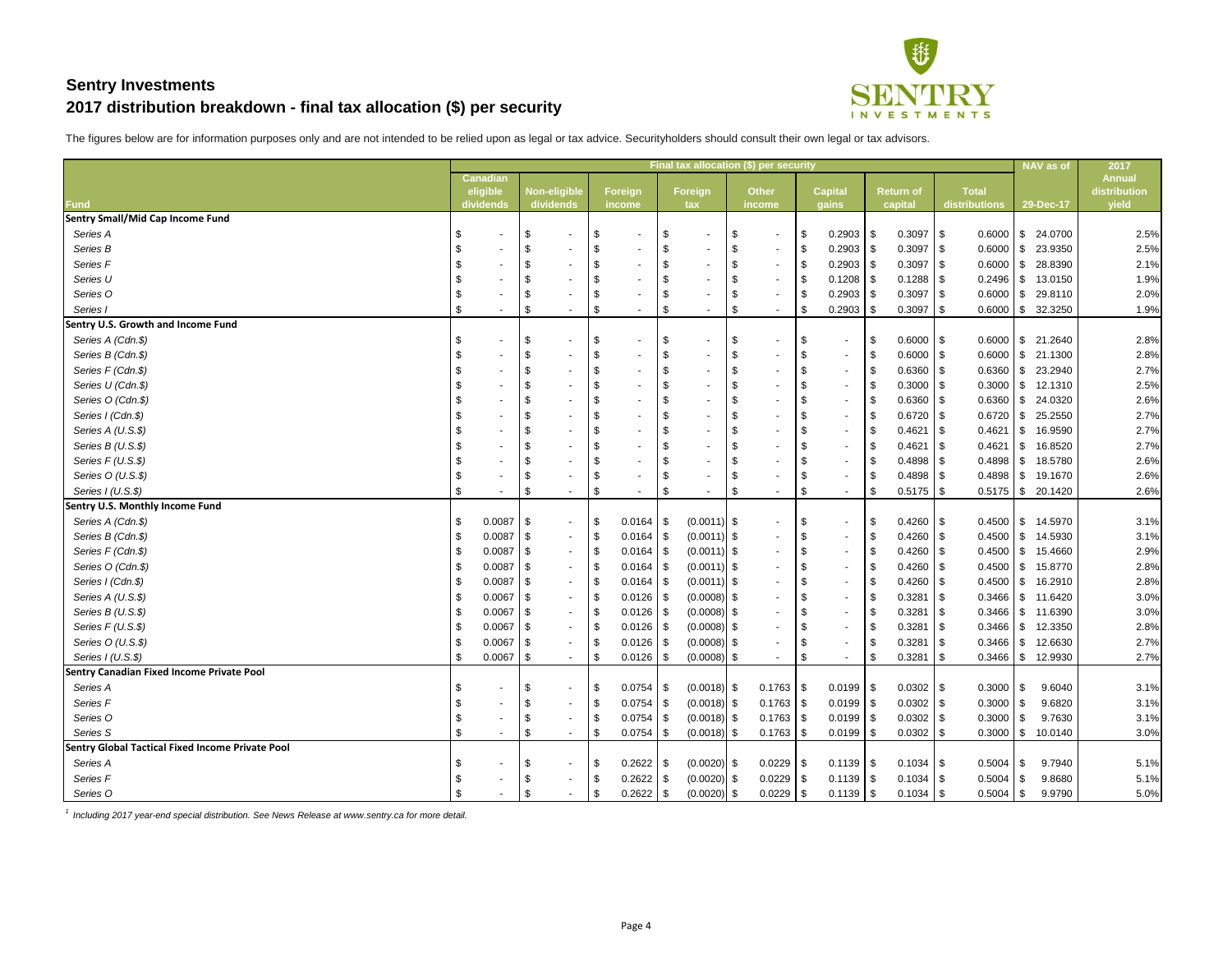

The figures below are for information purposes only and are not intended to be relied upon as legal or tax advice. Securityholders should consult their own legal or tax advisors.

|                                                         | Final tax allocation (\$) per security |                       |      |                                  |      |                          |           |                |     |                        |                           |                         |      | NAV as of                   | 2017 |                               |                |                     |                       |
|---------------------------------------------------------|----------------------------------------|-----------------------|------|----------------------------------|------|--------------------------|-----------|----------------|-----|------------------------|---------------------------|-------------------------|------|-----------------------------|------|-------------------------------|----------------|---------------------|-----------------------|
|                                                         |                                        | <b>Canadian</b>       |      |                                  |      |                          |           |                |     |                        |                           |                         |      |                             |      |                               |                |                     | <b>Annual</b>         |
| <b>Fund</b>                                             |                                        | eligible<br>dividends |      | <b>Non-eligible</b><br>dividends |      | <b>Foreign</b><br>income |           | Foreign<br>tax |     | <b>Other</b><br>income |                           | <b>Capital</b><br>gains |      | <b>Return of</b><br>capital |      | <b>Total</b><br>distributions |                | 29-Dec-17           | distribution<br>yield |
| <b>Sentry Small/Mid Cap Income Fund</b>                 |                                        |                       |      |                                  |      |                          |           |                |     |                        |                           |                         |      |                             |      |                               |                |                     |                       |
| Series A                                                | \$                                     |                       | -\$  | $\sim$                           | -\$  |                          | \$        |                | \$  | $\sim$                 | \$                        | 0.2903                  | -\$  | $0.3097$ \$                 |      | $0.6000$ \ \$                 |                | 24.0700             | 2.5%                  |
| Series B                                                |                                        |                       | -\$  |                                  |      |                          | \$        |                | -\$ | $\sim$                 | \$                        | 0.2903                  | -\$  | $0.3097$ \$                 |      | $0.6000$ \$                   |                | 23.9350             | 2.5%                  |
| Series <sub>F</sub>                                     |                                        |                       |      |                                  |      |                          | \$        |                | \$  |                        | \$                        | 0.2903                  | -\$  | $0.3097$ \$                 |      | $0.6000$ \ \$                 |                | 28.8390             | 2.1%                  |
| Series U                                                |                                        |                       |      |                                  |      |                          | \$        |                |     |                        | \$                        | 0.1208                  | - \$ |                             |      | $0.2496$ \ \ \$               |                | 13.0150             | 1.9%                  |
| Series O                                                |                                        |                       |      |                                  |      |                          | \$        |                | \$  |                        | \$                        | 0.2903                  | - \$ | $0.3097$ \$                 |      | $0.6000$ \$                   |                | 29.8110             | 2.0%                  |
| Series I                                                |                                        |                       | - \$ | $\sim$                           | \$   | $\sim$                   | \$        |                | \$  |                        | $\boldsymbol{\mathsf{S}}$ | 0.2903                  | -\$  | $0.3097$ \$                 |      | $0.6000$ \$                   |                | 32.3250             | 1.9%                  |
| <b>Sentry U.S. Growth and Income Fund</b>               |                                        |                       |      |                                  |      |                          |           |                |     |                        |                           |                         |      |                             |      |                               |                |                     |                       |
| Series A (Cdn.\$)                                       |                                        |                       | - \$ | $\sim$                           |      |                          | \$        |                | -\$ |                        | \$                        |                         | - \$ | $0.6000$ \$                 |      | $0.6000$ \ \$                 |                | 21.2640             | 2.8%                  |
| Series B (Cdn.\$)                                       |                                        |                       | - \$ |                                  |      |                          | \$        |                | \$  |                        | \$                        | $\sim$                  | - \$ | $0.6000$ \$                 |      | $0.6000$ \$                   |                | 21.1300             | 2.8%                  |
| Series F (Cdn.\$)                                       |                                        |                       |      | $\sim$                           |      |                          | \$        |                |     |                        | $\sqrt[6]{\frac{1}{2}}$   | $\sim$                  | - \$ | $0.6360$ \ \$               |      | $0.6360$ \$                   |                | 23.2940             | 2.7%                  |
| Series U (Cdn.\$)                                       |                                        |                       |      |                                  |      |                          | \$        |                | \$  |                        | \$                        |                         | - \$ | $0.3000$ \ \$               |      | $0.3000$ \ \$                 |                | 12.1310             | 2.5%                  |
| Series O (Cdn.\$)                                       |                                        |                       |      | $\sim$                           |      |                          | \$        |                |     |                        | \$                        | $\sim$                  | - \$ | $0.6360$ \ \$               |      | 0.6360                        | <b>S</b>       | 24.0320             | 2.6%                  |
| Series I (Cdn.\$)                                       |                                        |                       | -\$  | $\sim$                           |      |                          | \$        |                | \$  |                        | \$                        | $\sim$                  | - \$ | $0.6720$ \$                 |      | $0.6720$ \$                   |                | 25.2550             | 2.7%                  |
| Series A (U.S.\$)                                       |                                        |                       |      |                                  |      |                          | \$        |                | -\$ |                        | \$                        |                         | - \$ | $0.4621$ \$                 |      | 0.4621                        | \$             | 16.9590             | 2.7%                  |
| Series B (U.S.\$)                                       |                                        |                       | -\$  | $\sim$                           |      |                          | \$        |                | \$  |                        | \$                        | $\sim$                  | - \$ | 0.4621                      | 1 S  | 0.4621                        | \$             | 16.8520             | 2.7%                  |
| Series F (U.S.\$)                                       |                                        |                       |      |                                  |      |                          | \$        |                | -\$ |                        | \$                        |                         | - \$ | $0.4898$ \$                 |      | $0.4898$ \ \ \$               |                | 18.5780             | 2.6%                  |
| Series O (U.S.\$)                                       |                                        |                       | -\$  | $\sim$                           | - \$ |                          | \$        |                | \$  |                        | \$                        | $\sim$                  | - \$ | $0.4898$ \$                 |      | $0.4898$ \ \ \$               |                | 19.1670             | 2.6%                  |
| Series I (U.S.\$)                                       |                                        |                       |      |                                  | - \$ | $\sim$                   | \$        |                | S   |                        | $\sqrt[6]{3}$             |                         | - \$ | $0.5175$ \\$                |      |                               |                | $0.5175$ \$ 20.1420 | 2.6%                  |
| <b>Sentry U.S. Monthly Income Fund</b>                  |                                        |                       |      |                                  |      |                          |           |                |     |                        |                           |                         |      |                             |      |                               |                |                     |                       |
| Series A (Cdn.\$)                                       |                                        | $0.0087$ \$           |      | $\sim$                           | - \$ | 0.0164                   | <b>\$</b> | $(0.0011)$ \$  |     | $\sim$                 | $\sqrt[6]{\frac{1}{2}}$   |                         | - \$ | $0.4260$ \$                 |      | $0.4500$ \ \$                 |                | 14.5970             | 3.1%                  |
| Series B (Cdn.\$)                                       |                                        | $0.0087$ \$           |      | $\sim$                           | l \$ | $0.0164$ \ \ \$          |           | $(0.0011)$ \$  |     |                        | \$                        | $\sim$                  | \$   | $0.4260$ \ \$               |      | 0.4500                        | $\sqrt{3}$     | 14.5930             | 3.1%                  |
| Series F (Cdn.\$)                                       |                                        | $0.0087$ \$           |      | $\sim$                           | - \$ | 0.0164                   | - \$      | $(0.0011)$ \$  |     |                        | \$.                       | $\sim$                  | -\$  | $0.4260$ \ \$               |      | $0.4500$ \$                   |                | 15.4660             | 2.9%                  |
| Series O (Cdn.\$)                                       |                                        | $0.0087$ \$           |      | $\sim$                           | l \$ | 0.0164                   | \$        | $(0.0011)$ \$  |     |                        |                           |                         | \$   | $0.4260$ \$                 |      | $0.4500$ \$                   |                | 15.8770             | 2.8%                  |
| Series I (Cdn.\$)                                       |                                        | $0.0087$ \$           |      | $\sim$                           |      | 0.0164                   | l \$      | $(0.0011)$ \$  |     |                        |                           | $\sim$                  | - \$ | $0.4260$ \ \$               |      | 0.4500                        | l \$           | 16.2910             | 2.8%                  |
| Series A (U.S.\$)                                       |                                        | $0.0067$ \$           |      | $\sim$                           | - \$ | 0.0126                   | S.        | $(0.0008)$ \$  |     |                        | \$                        |                         | - \$ | 0.3281                      | 1 S  | $0.3466$ \ \ \$               |                | 11.6420             | 3.0%                  |
| Series B (U.S.\$)                                       |                                        | $0.0067 \mid$ \$      |      |                                  |      | $0.0126$   \$            |           | $(0.0008)$ \$  |     |                        |                           |                         |      | $0.3281 \, \vert \, \$      |      | $0.3466$ \$                   |                | 11.6390             | 3.0%                  |
| Series F (U.S.\$)                                       |                                        | $0.0067$ \$           |      | $\sim$                           | \$   |                          |           | $(0.0008)$ \$  |     |                        |                           |                         | - \$ |                             |      | $0.3466$ \$                   |                | 12.3350             | 2.8%                  |
| Series O (U.S.\$)                                       |                                        | $0.0067$ \$           |      | $\sim$                           | l Si |                          |           | $(0.0008)$ \$  |     |                        |                           | $\sim$                  | - \$ |                             |      | $0.3466$ \$                   |                | 12.6630             | 2.7%                  |
| Series I (U.S.\$)                                       | - \$                                   | $0.0067$ \$           |      | $\sim$                           | - \$ |                          |           | $(0.0008)$ \$  |     |                        | \$                        |                         | -\$  |                             |      | $0.3466$ \$                   |                | 12.9930             | 2.7%                  |
| <b>Sentry Canadian Fixed Income Private Pool</b>        |                                        |                       |      |                                  |      |                          |           |                |     |                        |                           |                         |      |                             |      |                               |                |                     |                       |
| Series A                                                | \$                                     |                       | - \$ | $\sim$                           | - \$ | $0.0754$ \ \ \$          |           | $(0.0018)$ \$  |     | $0.1763$ \ \$          |                           | 0.0199                  | -\$  | $0.0302$ \$                 |      | $0.3000$   \$                 |                | 9.6040              | 3.1%                  |
| Series F                                                |                                        |                       | - \$ | $\sim$                           | l \$ | 0.0754                   | l \$      | $(0.0018)$ \$  |     | $0.1763$ \$            |                           | 0.0199                  | - \$ | $0.0302$ \$                 |      | $0.3000$ \ \$                 |                | 9.6820              | 3.1%                  |
| Series O                                                |                                        |                       | -\$  | $\sim$                           | - \$ |                          |           | $(0.0018)$ \$  |     | $0.1763$ \$            |                           | $0.0199$ \$             |      | $0.0302$ \$                 |      | $0.3000$ \ \$                 |                | 9.7630              | 3.1%                  |
| Series S                                                | \$                                     | $\sim$                | - \$ | $\sim$                           | - \$ | $0.0754$ \\$             |           | $(0.0018)$ \$  |     | $0.1763$ \$            |                           | 0.0199                  | - \$ | $0.0302$   \$               |      | $0.3000$ \$                   |                | 10.0140             | 3.0%                  |
| <b>Sentry Global Tactical Fixed Income Private Pool</b> |                                        |                       |      |                                  |      |                          |           |                |     |                        |                           |                         |      |                             |      |                               |                |                     |                       |
| Series A                                                | \$                                     |                       | -\$  | $\sim$                           | l \$ | 0.2622                   | IS.       | $(0.0020)$ \$  |     | $0.0229$ \$            |                           | 0.1139                  | - \$ |                             |      | 0.5004                        | $\overline{5}$ | 9.7940              | 5.1%                  |
| Series F                                                | $\boldsymbol{\mathsf{\$}}$             |                       | \$   | $\sim$                           | l \$ | 0.2622                   | \$        | $(0.0020)$ \$  |     | $0.0229$ \$            |                           | $0.1139$ \$             |      | $0.1034$ \\$                |      | $0.5004$ \ \$                 |                | 9.8680              | 5.1%                  |
| Series O                                                | $\boldsymbol{\mathsf{S}}$              |                       | \$   |                                  | -\$  | $0.2622$ \$              |           | $(0.0020)$ \$  |     | $0.0229$ \$            |                           | $0.1139$ \$             |      | $0.1034$ \\$                |      | $0.5004$ \ \ \$               |                | 9.9790              | 5.0%                  |

*1 Including 2017 year-end special distribution. See News Release at www.sentry.ca for more detail.*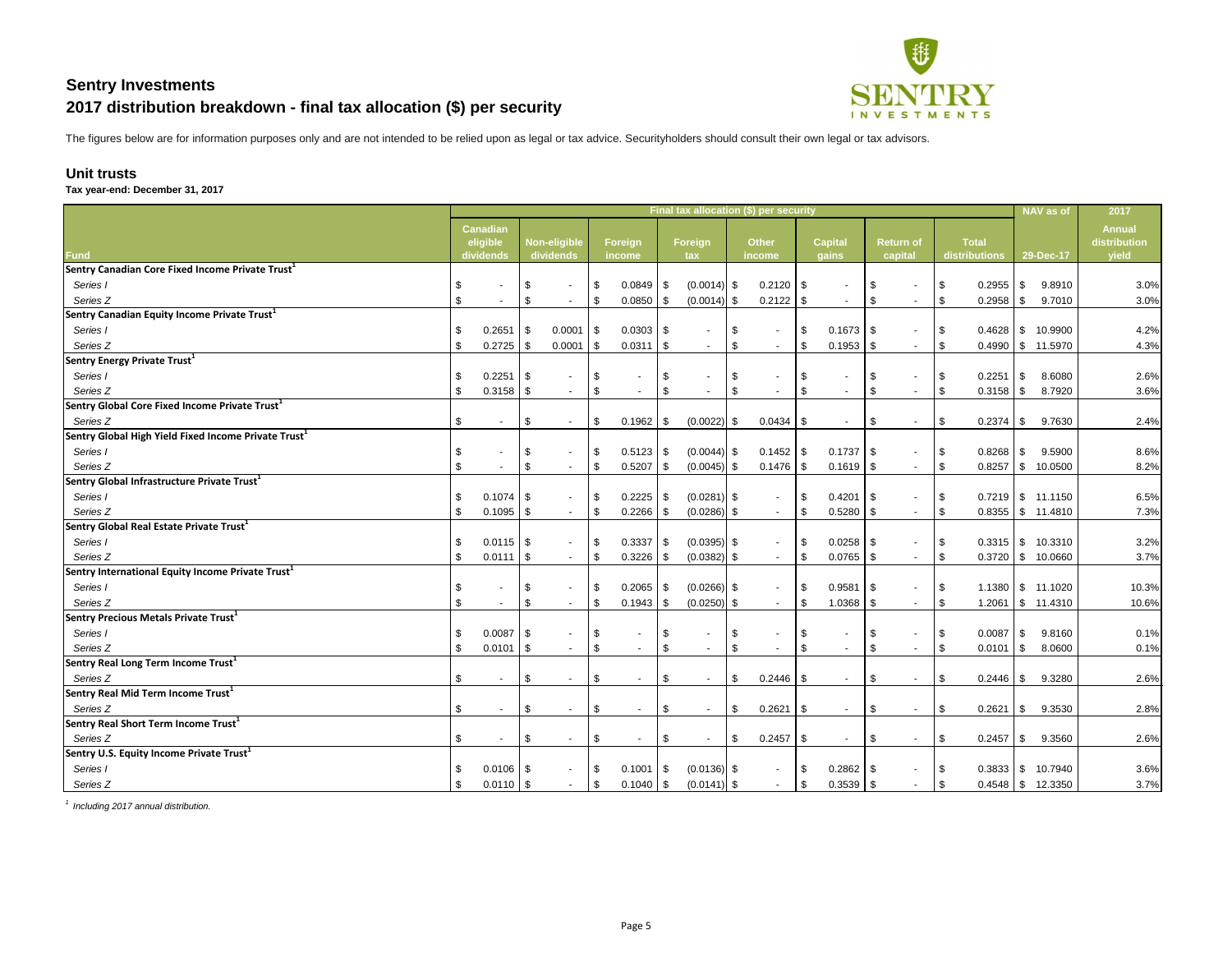

The figures below are for information purposes only and are not intended to be relied upon as legal or tax advice. Securityholders should consult their own legal or tax advisors.

**Unit trusts**

| Final tax allocation (\$) per security<br>2017<br><b>NAV</b> as of<br><b>Annual</b><br><b>Canadian</b><br><b>Capital</b><br><b>Total</b><br>eligible<br><b>Non-eligible</b><br><b>Foreign</b><br>Foreign<br><b>Other</b><br><b>Return of</b><br>distribution<br><b>Fund</b><br>yield<br>dividends<br>dividends<br>distributions<br>29-Dec-17<br>income<br>capital<br>tax<br>income<br>gains<br>Sentry Canadian Core Fixed Income Private Trust $^1$<br>$0.2120$ \$<br>\$<br>$0.0849$ \\$<br>$(0.0014)$ \$<br>0.2955<br>l \$<br>9.8910<br>Series I<br>-\$<br>l \$<br>-\$<br>$\sim$<br>Series <sub>Z</sub><br>$\sqrt[6]{\frac{1}{2}}$<br>$(0.0014)$ \$<br>$0.2122$ \$<br>9.7010<br>\$<br>l \$<br>$0.0850$ \ \$<br>\$<br>$0.2958$ \ \ \$<br>-\$<br>$\sim$<br>$\sim$<br>$\sim$<br>$\sim$<br>Sentry Canadian Equity Income Private Trust <sup>1</sup><br>$0.2651$ \$<br>10.9900<br>\$<br>0.0001<br>$0.0303$ \ \ \$<br>\$<br>$0.1673$ \$<br>Series I<br>$\sqrt{3}$<br>-\$<br>l \$<br>$\sim$<br>$\sim$<br>Series <sub>Z</sub><br>$\boldsymbol{\mathsf{S}}$<br>0.2725<br>0.0001<br>$\sqrt{3}$<br>$0.0311$ \\$<br>\$<br>$0.1953$ \$<br>$0.4990$ \ \$ 11.5970<br>\$<br>\$<br>$\sim$<br>$\sim$<br>$\sim$<br>Sentry Energy Private Trust <sup>1</sup><br>$0.2251$ \$<br>\$<br>\$<br>0.2251<br>8.6080<br>Series I<br>-\$<br>-\$<br>l \$<br>$\sim$<br>$\sim$<br>$\sim$<br>$\frac{1}{2}$<br>Series <sub>Z</sub><br>\$<br>\$<br>$\sqrt{3}$<br>\$<br>0.3158<br>8.7920<br>l \$<br>$\sim$<br>$\sim$<br>$\sim$<br>Sentry Global Core Fixed Income Private Trust $^1$<br>Series Z<br>$\frac{1}{2}$<br>$(0.0022)$ \$<br>$0.0434$ \ \ \$<br>9.7630<br>\$<br>\$<br>0.1962<br>\$<br>\$<br>\$<br>$\sim$<br>$\sim$<br>$\sim$<br>Sentry Global High Yield Fixed Income Private Trust <sup>1</sup><br>\$<br>9.5900<br>Series I<br>\$<br>$(0.0044)$ \$<br>$0.8268$ \ \ \$<br>l \$<br>l \$<br>$\sim$<br>Series <sub>Z</sub><br>$\boldsymbol{\mathsf{S}}$<br>0.5207<br>$(0.0045)$ \$<br>$0.1619$ \$<br>0.8257<br>10.0500<br>-\$<br>\$<br>  \$<br>- \$<br>$\sim$<br>$\sim$<br>$\sim$<br>Sentry Global Infrastructure Private Trust $^1$<br>Series I<br>0.2225<br>-\$<br>$(0.0281)$ \$<br>\$<br>$0.4201$ \\$<br>$0.7219$ \$ 11.1150<br>l \$<br>$\sim$<br>$\sim$<br>Series <sub>Z</sub><br>0.2266<br>$(0.0286)$ \$<br>\$<br>0.5280<br>\$<br>0.1095<br>-\$<br>-\$<br>\$<br>\$<br>$0.8355$ \ \ \$<br>11.4810<br>$\sim$<br>$0.3337$ \ \ \$<br>$(0.0395)$ \$<br>Series I<br>\$<br>$0.0115$ \$<br>\$<br>$0.3315$ \$<br>10.3310<br>  \$<br>$\blacksquare$<br>$\sim$<br>$\sim$<br>\$<br>Series <sub>Z</sub><br>0.3226<br>$(0.0382)$ \$<br>0.0765<br>$0.3720$ \$<br>10.0660<br>$0.0111$   \$<br>l \$<br>\$<br>-\$<br>$\sim$<br>$\sim$<br>$\sim$<br>$\boldsymbol{\mathsf{S}}$<br>$(0.0266)$ \$<br>$\sqrt{3}$<br>Series I<br>$0.2065$ \ \ \$<br>$0.9581$ \$<br>$1.1380$ \ \$ 11.1020<br>-\$<br>  \$<br>$\overline{\phantom{a}}$<br>\$<br>\$<br>$\sqrt{3}$<br>$\sqrt[6]{3}$<br>1.0368<br>Series <sub>Z</sub><br>$0.1943$ \\$<br>$(0.0250)$ \$<br>-\$<br>1.2061<br>$\frac{1}{2}$ 11.4310<br>-\$<br>$\sim$<br>$\sim$<br>\$<br>$0.0087$ \$<br>\$<br>$\sqrt[6]{3}$<br>Series I<br>$\sqrt{3}$<br>\$<br>9.8160<br>\$<br>- \$<br>$\sim$<br>$\sim$<br>$0.0101$ \\$<br>$\$\$<br>$\sqrt[6]{3}$<br>Series Z<br>$\sqrt{3}$<br>$\boldsymbol{\mathsf{\$}}$<br>0.0101<br>$\vert \$$<br>8.0600<br>\$<br>\$<br>\$<br>$\blacksquare$<br>Series Z<br>$\frac{1}{2}$<br>$\sqrt{3}$<br>\$<br>$0.2446$ \ \ \$<br>9.3280<br>\$<br>\$<br>$\sqrt{ }$<br>$\sim$<br>$\sim$<br>Series Z<br>\$<br>$\sqrt{3}$<br>\$<br>$0.2621$ \$<br>0.2621<br>$1$ \$<br>9.3530<br>\$<br>\$<br>\$<br>-\$<br>$\sim$<br>$\sim$<br>$\sim$<br>$0.2457$ \ \ \$<br>Series Z<br>\$<br>9.3560<br>\$<br>$\sqrt{3}$<br>\$<br>$\sqrt{3}$<br>\$<br>$\sim$<br>$\sim$<br>$\sim$<br>$\sim$<br>$0.0106$ \$<br>$0.1001$ \\$<br>$(0.0136)$ \$<br>$0.2862$ \$<br>10.7940<br>Series I<br>\$<br>$\sqrt{3}$<br>\$<br>$0.3833$ \ \ \$<br>$\blacksquare$<br>Series Z<br>$0.1040$ \ \$<br>$(0.0141)$ \$<br>$\boldsymbol{\mathsf{S}}$<br>$0.0110$ \$<br>\$<br>$0.3539$ \$<br>$0.4548$ \ \$ 12.3350<br>-\$ | Tax year-end: December 31, 2017                               |  |  |  |  |  |  |  |  |  |  |
|-------------------------------------------------------------------------------------------------------------------------------------------------------------------------------------------------------------------------------------------------------------------------------------------------------------------------------------------------------------------------------------------------------------------------------------------------------------------------------------------------------------------------------------------------------------------------------------------------------------------------------------------------------------------------------------------------------------------------------------------------------------------------------------------------------------------------------------------------------------------------------------------------------------------------------------------------------------------------------------------------------------------------------------------------------------------------------------------------------------------------------------------------------------------------------------------------------------------------------------------------------------------------------------------------------------------------------------------------------------------------------------------------------------------------------------------------------------------------------------------------------------------------------------------------------------------------------------------------------------------------------------------------------------------------------------------------------------------------------------------------------------------------------------------------------------------------------------------------------------------------------------------------------------------------------------------------------------------------------------------------------------------------------------------------------------------------------------------------------------------------------------------------------------------------------------------------------------------------------------------------------------------------------------------------------------------------------------------------------------------------------------------------------------------------------------------------------------------------------------------------------------------------------------------------------------------------------------------------------------------------------------------------------------------------------------------------------------------------------------------------------------------------------------------------------------------------------------------------------------------------------------------------------------------------------------------------------------------------------------------------------------------------------------------------------------------------------------------------------------------------------------------------------------------------------------------------------------------------------------------------------------------------------------------------------------------------------------------------------------------------------------------------------------------------------------------------------------------------------------------------------------------------------------------------------------------------------------------------------------------------------------------------------------------------------------------------------------------------------------------------------------------------------------------------------------------------------------------------------------------------------------------------------------------------------------------------------------------------------------------------------------------------------------------------------------------------------------|---------------------------------------------------------------|--|--|--|--|--|--|--|--|--|--|
|                                                                                                                                                                                                                                                                                                                                                                                                                                                                                                                                                                                                                                                                                                                                                                                                                                                                                                                                                                                                                                                                                                                                                                                                                                                                                                                                                                                                                                                                                                                                                                                                                                                                                                                                                                                                                                                                                                                                                                                                                                                                                                                                                                                                                                                                                                                                                                                                                                                                                                                                                                                                                                                                                                                                                                                                                                                                                                                                                                                                                                                                                                                                                                                                                                                                                                                                                                                                                                                                                                                                                                                                                                                                                                                                                                                                                                                                                                                                                                                                                                                                                     |                                                               |  |  |  |  |  |  |  |  |  |  |
|                                                                                                                                                                                                                                                                                                                                                                                                                                                                                                                                                                                                                                                                                                                                                                                                                                                                                                                                                                                                                                                                                                                                                                                                                                                                                                                                                                                                                                                                                                                                                                                                                                                                                                                                                                                                                                                                                                                                                                                                                                                                                                                                                                                                                                                                                                                                                                                                                                                                                                                                                                                                                                                                                                                                                                                                                                                                                                                                                                                                                                                                                                                                                                                                                                                                                                                                                                                                                                                                                                                                                                                                                                                                                                                                                                                                                                                                                                                                                                                                                                                                                     |                                                               |  |  |  |  |  |  |  |  |  |  |
| 3.0%<br>3.0%<br>4.2%<br>4.3%<br>2.6%<br>3.6%<br>2.4%<br>8.6%<br>8.2%<br>6.5%<br>7.3%<br>3.2%<br>3.7%<br>10.3%<br>10.6%<br>0.1%<br>0.1%<br>2.6%<br>2.8%<br>2.6%<br>3.6%<br>3.7%                                                                                                                                                                                                                                                                                                                                                                                                                                                                                                                                                                                                                                                                                                                                                                                                                                                                                                                                                                                                                                                                                                                                                                                                                                                                                                                                                                                                                                                                                                                                                                                                                                                                                                                                                                                                                                                                                                                                                                                                                                                                                                                                                                                                                                                                                                                                                                                                                                                                                                                                                                                                                                                                                                                                                                                                                                                                                                                                                                                                                                                                                                                                                                                                                                                                                                                                                                                                                                                                                                                                                                                                                                                                                                                                                                                                                                                                                                      |                                                               |  |  |  |  |  |  |  |  |  |  |
|                                                                                                                                                                                                                                                                                                                                                                                                                                                                                                                                                                                                                                                                                                                                                                                                                                                                                                                                                                                                                                                                                                                                                                                                                                                                                                                                                                                                                                                                                                                                                                                                                                                                                                                                                                                                                                                                                                                                                                                                                                                                                                                                                                                                                                                                                                                                                                                                                                                                                                                                                                                                                                                                                                                                                                                                                                                                                                                                                                                                                                                                                                                                                                                                                                                                                                                                                                                                                                                                                                                                                                                                                                                                                                                                                                                                                                                                                                                                                                                                                                                                                     |                                                               |  |  |  |  |  |  |  |  |  |  |
|                                                                                                                                                                                                                                                                                                                                                                                                                                                                                                                                                                                                                                                                                                                                                                                                                                                                                                                                                                                                                                                                                                                                                                                                                                                                                                                                                                                                                                                                                                                                                                                                                                                                                                                                                                                                                                                                                                                                                                                                                                                                                                                                                                                                                                                                                                                                                                                                                                                                                                                                                                                                                                                                                                                                                                                                                                                                                                                                                                                                                                                                                                                                                                                                                                                                                                                                                                                                                                                                                                                                                                                                                                                                                                                                                                                                                                                                                                                                                                                                                                                                                     |                                                               |  |  |  |  |  |  |  |  |  |  |
|                                                                                                                                                                                                                                                                                                                                                                                                                                                                                                                                                                                                                                                                                                                                                                                                                                                                                                                                                                                                                                                                                                                                                                                                                                                                                                                                                                                                                                                                                                                                                                                                                                                                                                                                                                                                                                                                                                                                                                                                                                                                                                                                                                                                                                                                                                                                                                                                                                                                                                                                                                                                                                                                                                                                                                                                                                                                                                                                                                                                                                                                                                                                                                                                                                                                                                                                                                                                                                                                                                                                                                                                                                                                                                                                                                                                                                                                                                                                                                                                                                                                                     |                                                               |  |  |  |  |  |  |  |  |  |  |
|                                                                                                                                                                                                                                                                                                                                                                                                                                                                                                                                                                                                                                                                                                                                                                                                                                                                                                                                                                                                                                                                                                                                                                                                                                                                                                                                                                                                                                                                                                                                                                                                                                                                                                                                                                                                                                                                                                                                                                                                                                                                                                                                                                                                                                                                                                                                                                                                                                                                                                                                                                                                                                                                                                                                                                                                                                                                                                                                                                                                                                                                                                                                                                                                                                                                                                                                                                                                                                                                                                                                                                                                                                                                                                                                                                                                                                                                                                                                                                                                                                                                                     |                                                               |  |  |  |  |  |  |  |  |  |  |
|                                                                                                                                                                                                                                                                                                                                                                                                                                                                                                                                                                                                                                                                                                                                                                                                                                                                                                                                                                                                                                                                                                                                                                                                                                                                                                                                                                                                                                                                                                                                                                                                                                                                                                                                                                                                                                                                                                                                                                                                                                                                                                                                                                                                                                                                                                                                                                                                                                                                                                                                                                                                                                                                                                                                                                                                                                                                                                                                                                                                                                                                                                                                                                                                                                                                                                                                                                                                                                                                                                                                                                                                                                                                                                                                                                                                                                                                                                                                                                                                                                                                                     |                                                               |  |  |  |  |  |  |  |  |  |  |
|                                                                                                                                                                                                                                                                                                                                                                                                                                                                                                                                                                                                                                                                                                                                                                                                                                                                                                                                                                                                                                                                                                                                                                                                                                                                                                                                                                                                                                                                                                                                                                                                                                                                                                                                                                                                                                                                                                                                                                                                                                                                                                                                                                                                                                                                                                                                                                                                                                                                                                                                                                                                                                                                                                                                                                                                                                                                                                                                                                                                                                                                                                                                                                                                                                                                                                                                                                                                                                                                                                                                                                                                                                                                                                                                                                                                                                                                                                                                                                                                                                                                                     |                                                               |  |  |  |  |  |  |  |  |  |  |
|                                                                                                                                                                                                                                                                                                                                                                                                                                                                                                                                                                                                                                                                                                                                                                                                                                                                                                                                                                                                                                                                                                                                                                                                                                                                                                                                                                                                                                                                                                                                                                                                                                                                                                                                                                                                                                                                                                                                                                                                                                                                                                                                                                                                                                                                                                                                                                                                                                                                                                                                                                                                                                                                                                                                                                                                                                                                                                                                                                                                                                                                                                                                                                                                                                                                                                                                                                                                                                                                                                                                                                                                                                                                                                                                                                                                                                                                                                                                                                                                                                                                                     |                                                               |  |  |  |  |  |  |  |  |  |  |
|                                                                                                                                                                                                                                                                                                                                                                                                                                                                                                                                                                                                                                                                                                                                                                                                                                                                                                                                                                                                                                                                                                                                                                                                                                                                                                                                                                                                                                                                                                                                                                                                                                                                                                                                                                                                                                                                                                                                                                                                                                                                                                                                                                                                                                                                                                                                                                                                                                                                                                                                                                                                                                                                                                                                                                                                                                                                                                                                                                                                                                                                                                                                                                                                                                                                                                                                                                                                                                                                                                                                                                                                                                                                                                                                                                                                                                                                                                                                                                                                                                                                                     |                                                               |  |  |  |  |  |  |  |  |  |  |
|                                                                                                                                                                                                                                                                                                                                                                                                                                                                                                                                                                                                                                                                                                                                                                                                                                                                                                                                                                                                                                                                                                                                                                                                                                                                                                                                                                                                                                                                                                                                                                                                                                                                                                                                                                                                                                                                                                                                                                                                                                                                                                                                                                                                                                                                                                                                                                                                                                                                                                                                                                                                                                                                                                                                                                                                                                                                                                                                                                                                                                                                                                                                                                                                                                                                                                                                                                                                                                                                                                                                                                                                                                                                                                                                                                                                                                                                                                                                                                                                                                                                                     |                                                               |  |  |  |  |  |  |  |  |  |  |
|                                                                                                                                                                                                                                                                                                                                                                                                                                                                                                                                                                                                                                                                                                                                                                                                                                                                                                                                                                                                                                                                                                                                                                                                                                                                                                                                                                                                                                                                                                                                                                                                                                                                                                                                                                                                                                                                                                                                                                                                                                                                                                                                                                                                                                                                                                                                                                                                                                                                                                                                                                                                                                                                                                                                                                                                                                                                                                                                                                                                                                                                                                                                                                                                                                                                                                                                                                                                                                                                                                                                                                                                                                                                                                                                                                                                                                                                                                                                                                                                                                                                                     |                                                               |  |  |  |  |  |  |  |  |  |  |
|                                                                                                                                                                                                                                                                                                                                                                                                                                                                                                                                                                                                                                                                                                                                                                                                                                                                                                                                                                                                                                                                                                                                                                                                                                                                                                                                                                                                                                                                                                                                                                                                                                                                                                                                                                                                                                                                                                                                                                                                                                                                                                                                                                                                                                                                                                                                                                                                                                                                                                                                                                                                                                                                                                                                                                                                                                                                                                                                                                                                                                                                                                                                                                                                                                                                                                                                                                                                                                                                                                                                                                                                                                                                                                                                                                                                                                                                                                                                                                                                                                                                                     |                                                               |  |  |  |  |  |  |  |  |  |  |
|                                                                                                                                                                                                                                                                                                                                                                                                                                                                                                                                                                                                                                                                                                                                                                                                                                                                                                                                                                                                                                                                                                                                                                                                                                                                                                                                                                                                                                                                                                                                                                                                                                                                                                                                                                                                                                                                                                                                                                                                                                                                                                                                                                                                                                                                                                                                                                                                                                                                                                                                                                                                                                                                                                                                                                                                                                                                                                                                                                                                                                                                                                                                                                                                                                                                                                                                                                                                                                                                                                                                                                                                                                                                                                                                                                                                                                                                                                                                                                                                                                                                                     |                                                               |  |  |  |  |  |  |  |  |  |  |
|                                                                                                                                                                                                                                                                                                                                                                                                                                                                                                                                                                                                                                                                                                                                                                                                                                                                                                                                                                                                                                                                                                                                                                                                                                                                                                                                                                                                                                                                                                                                                                                                                                                                                                                                                                                                                                                                                                                                                                                                                                                                                                                                                                                                                                                                                                                                                                                                                                                                                                                                                                                                                                                                                                                                                                                                                                                                                                                                                                                                                                                                                                                                                                                                                                                                                                                                                                                                                                                                                                                                                                                                                                                                                                                                                                                                                                                                                                                                                                                                                                                                                     |                                                               |  |  |  |  |  |  |  |  |  |  |
|                                                                                                                                                                                                                                                                                                                                                                                                                                                                                                                                                                                                                                                                                                                                                                                                                                                                                                                                                                                                                                                                                                                                                                                                                                                                                                                                                                                                                                                                                                                                                                                                                                                                                                                                                                                                                                                                                                                                                                                                                                                                                                                                                                                                                                                                                                                                                                                                                                                                                                                                                                                                                                                                                                                                                                                                                                                                                                                                                                                                                                                                                                                                                                                                                                                                                                                                                                                                                                                                                                                                                                                                                                                                                                                                                                                                                                                                                                                                                                                                                                                                                     |                                                               |  |  |  |  |  |  |  |  |  |  |
|                                                                                                                                                                                                                                                                                                                                                                                                                                                                                                                                                                                                                                                                                                                                                                                                                                                                                                                                                                                                                                                                                                                                                                                                                                                                                                                                                                                                                                                                                                                                                                                                                                                                                                                                                                                                                                                                                                                                                                                                                                                                                                                                                                                                                                                                                                                                                                                                                                                                                                                                                                                                                                                                                                                                                                                                                                                                                                                                                                                                                                                                                                                                                                                                                                                                                                                                                                                                                                                                                                                                                                                                                                                                                                                                                                                                                                                                                                                                                                                                                                                                                     |                                                               |  |  |  |  |  |  |  |  |  |  |
|                                                                                                                                                                                                                                                                                                                                                                                                                                                                                                                                                                                                                                                                                                                                                                                                                                                                                                                                                                                                                                                                                                                                                                                                                                                                                                                                                                                                                                                                                                                                                                                                                                                                                                                                                                                                                                                                                                                                                                                                                                                                                                                                                                                                                                                                                                                                                                                                                                                                                                                                                                                                                                                                                                                                                                                                                                                                                                                                                                                                                                                                                                                                                                                                                                                                                                                                                                                                                                                                                                                                                                                                                                                                                                                                                                                                                                                                                                                                                                                                                                                                                     |                                                               |  |  |  |  |  |  |  |  |  |  |
|                                                                                                                                                                                                                                                                                                                                                                                                                                                                                                                                                                                                                                                                                                                                                                                                                                                                                                                                                                                                                                                                                                                                                                                                                                                                                                                                                                                                                                                                                                                                                                                                                                                                                                                                                                                                                                                                                                                                                                                                                                                                                                                                                                                                                                                                                                                                                                                                                                                                                                                                                                                                                                                                                                                                                                                                                                                                                                                                                                                                                                                                                                                                                                                                                                                                                                                                                                                                                                                                                                                                                                                                                                                                                                                                                                                                                                                                                                                                                                                                                                                                                     |                                                               |  |  |  |  |  |  |  |  |  |  |
|                                                                                                                                                                                                                                                                                                                                                                                                                                                                                                                                                                                                                                                                                                                                                                                                                                                                                                                                                                                                                                                                                                                                                                                                                                                                                                                                                                                                                                                                                                                                                                                                                                                                                                                                                                                                                                                                                                                                                                                                                                                                                                                                                                                                                                                                                                                                                                                                                                                                                                                                                                                                                                                                                                                                                                                                                                                                                                                                                                                                                                                                                                                                                                                                                                                                                                                                                                                                                                                                                                                                                                                                                                                                                                                                                                                                                                                                                                                                                                                                                                                                                     | Sentry Global Real Estate Private Trust <sup>1</sup>          |  |  |  |  |  |  |  |  |  |  |
|                                                                                                                                                                                                                                                                                                                                                                                                                                                                                                                                                                                                                                                                                                                                                                                                                                                                                                                                                                                                                                                                                                                                                                                                                                                                                                                                                                                                                                                                                                                                                                                                                                                                                                                                                                                                                                                                                                                                                                                                                                                                                                                                                                                                                                                                                                                                                                                                                                                                                                                                                                                                                                                                                                                                                                                                                                                                                                                                                                                                                                                                                                                                                                                                                                                                                                                                                                                                                                                                                                                                                                                                                                                                                                                                                                                                                                                                                                                                                                                                                                                                                     |                                                               |  |  |  |  |  |  |  |  |  |  |
|                                                                                                                                                                                                                                                                                                                                                                                                                                                                                                                                                                                                                                                                                                                                                                                                                                                                                                                                                                                                                                                                                                                                                                                                                                                                                                                                                                                                                                                                                                                                                                                                                                                                                                                                                                                                                                                                                                                                                                                                                                                                                                                                                                                                                                                                                                                                                                                                                                                                                                                                                                                                                                                                                                                                                                                                                                                                                                                                                                                                                                                                                                                                                                                                                                                                                                                                                                                                                                                                                                                                                                                                                                                                                                                                                                                                                                                                                                                                                                                                                                                                                     |                                                               |  |  |  |  |  |  |  |  |  |  |
|                                                                                                                                                                                                                                                                                                                                                                                                                                                                                                                                                                                                                                                                                                                                                                                                                                                                                                                                                                                                                                                                                                                                                                                                                                                                                                                                                                                                                                                                                                                                                                                                                                                                                                                                                                                                                                                                                                                                                                                                                                                                                                                                                                                                                                                                                                                                                                                                                                                                                                                                                                                                                                                                                                                                                                                                                                                                                                                                                                                                                                                                                                                                                                                                                                                                                                                                                                                                                                                                                                                                                                                                                                                                                                                                                                                                                                                                                                                                                                                                                                                                                     | Sentry International Equity Income Private Trust <sup>1</sup> |  |  |  |  |  |  |  |  |  |  |
|                                                                                                                                                                                                                                                                                                                                                                                                                                                                                                                                                                                                                                                                                                                                                                                                                                                                                                                                                                                                                                                                                                                                                                                                                                                                                                                                                                                                                                                                                                                                                                                                                                                                                                                                                                                                                                                                                                                                                                                                                                                                                                                                                                                                                                                                                                                                                                                                                                                                                                                                                                                                                                                                                                                                                                                                                                                                                                                                                                                                                                                                                                                                                                                                                                                                                                                                                                                                                                                                                                                                                                                                                                                                                                                                                                                                                                                                                                                                                                                                                                                                                     |                                                               |  |  |  |  |  |  |  |  |  |  |
|                                                                                                                                                                                                                                                                                                                                                                                                                                                                                                                                                                                                                                                                                                                                                                                                                                                                                                                                                                                                                                                                                                                                                                                                                                                                                                                                                                                                                                                                                                                                                                                                                                                                                                                                                                                                                                                                                                                                                                                                                                                                                                                                                                                                                                                                                                                                                                                                                                                                                                                                                                                                                                                                                                                                                                                                                                                                                                                                                                                                                                                                                                                                                                                                                                                                                                                                                                                                                                                                                                                                                                                                                                                                                                                                                                                                                                                                                                                                                                                                                                                                                     |                                                               |  |  |  |  |  |  |  |  |  |  |
|                                                                                                                                                                                                                                                                                                                                                                                                                                                                                                                                                                                                                                                                                                                                                                                                                                                                                                                                                                                                                                                                                                                                                                                                                                                                                                                                                                                                                                                                                                                                                                                                                                                                                                                                                                                                                                                                                                                                                                                                                                                                                                                                                                                                                                                                                                                                                                                                                                                                                                                                                                                                                                                                                                                                                                                                                                                                                                                                                                                                                                                                                                                                                                                                                                                                                                                                                                                                                                                                                                                                                                                                                                                                                                                                                                                                                                                                                                                                                                                                                                                                                     | Sentry Precious Metals Private Trust <sup>1</sup>             |  |  |  |  |  |  |  |  |  |  |
|                                                                                                                                                                                                                                                                                                                                                                                                                                                                                                                                                                                                                                                                                                                                                                                                                                                                                                                                                                                                                                                                                                                                                                                                                                                                                                                                                                                                                                                                                                                                                                                                                                                                                                                                                                                                                                                                                                                                                                                                                                                                                                                                                                                                                                                                                                                                                                                                                                                                                                                                                                                                                                                                                                                                                                                                                                                                                                                                                                                                                                                                                                                                                                                                                                                                                                                                                                                                                                                                                                                                                                                                                                                                                                                                                                                                                                                                                                                                                                                                                                                                                     |                                                               |  |  |  |  |  |  |  |  |  |  |
|                                                                                                                                                                                                                                                                                                                                                                                                                                                                                                                                                                                                                                                                                                                                                                                                                                                                                                                                                                                                                                                                                                                                                                                                                                                                                                                                                                                                                                                                                                                                                                                                                                                                                                                                                                                                                                                                                                                                                                                                                                                                                                                                                                                                                                                                                                                                                                                                                                                                                                                                                                                                                                                                                                                                                                                                                                                                                                                                                                                                                                                                                                                                                                                                                                                                                                                                                                                                                                                                                                                                                                                                                                                                                                                                                                                                                                                                                                                                                                                                                                                                                     |                                                               |  |  |  |  |  |  |  |  |  |  |
|                                                                                                                                                                                                                                                                                                                                                                                                                                                                                                                                                                                                                                                                                                                                                                                                                                                                                                                                                                                                                                                                                                                                                                                                                                                                                                                                                                                                                                                                                                                                                                                                                                                                                                                                                                                                                                                                                                                                                                                                                                                                                                                                                                                                                                                                                                                                                                                                                                                                                                                                                                                                                                                                                                                                                                                                                                                                                                                                                                                                                                                                                                                                                                                                                                                                                                                                                                                                                                                                                                                                                                                                                                                                                                                                                                                                                                                                                                                                                                                                                                                                                     | Sentry Real Long Term Income Trust <sup>1</sup>               |  |  |  |  |  |  |  |  |  |  |
|                                                                                                                                                                                                                                                                                                                                                                                                                                                                                                                                                                                                                                                                                                                                                                                                                                                                                                                                                                                                                                                                                                                                                                                                                                                                                                                                                                                                                                                                                                                                                                                                                                                                                                                                                                                                                                                                                                                                                                                                                                                                                                                                                                                                                                                                                                                                                                                                                                                                                                                                                                                                                                                                                                                                                                                                                                                                                                                                                                                                                                                                                                                                                                                                                                                                                                                                                                                                                                                                                                                                                                                                                                                                                                                                                                                                                                                                                                                                                                                                                                                                                     |                                                               |  |  |  |  |  |  |  |  |  |  |
|                                                                                                                                                                                                                                                                                                                                                                                                                                                                                                                                                                                                                                                                                                                                                                                                                                                                                                                                                                                                                                                                                                                                                                                                                                                                                                                                                                                                                                                                                                                                                                                                                                                                                                                                                                                                                                                                                                                                                                                                                                                                                                                                                                                                                                                                                                                                                                                                                                                                                                                                                                                                                                                                                                                                                                                                                                                                                                                                                                                                                                                                                                                                                                                                                                                                                                                                                                                                                                                                                                                                                                                                                                                                                                                                                                                                                                                                                                                                                                                                                                                                                     | Sentry Real Mid Term Income Trust $^1$                        |  |  |  |  |  |  |  |  |  |  |
|                                                                                                                                                                                                                                                                                                                                                                                                                                                                                                                                                                                                                                                                                                                                                                                                                                                                                                                                                                                                                                                                                                                                                                                                                                                                                                                                                                                                                                                                                                                                                                                                                                                                                                                                                                                                                                                                                                                                                                                                                                                                                                                                                                                                                                                                                                                                                                                                                                                                                                                                                                                                                                                                                                                                                                                                                                                                                                                                                                                                                                                                                                                                                                                                                                                                                                                                                                                                                                                                                                                                                                                                                                                                                                                                                                                                                                                                                                                                                                                                                                                                                     |                                                               |  |  |  |  |  |  |  |  |  |  |
|                                                                                                                                                                                                                                                                                                                                                                                                                                                                                                                                                                                                                                                                                                                                                                                                                                                                                                                                                                                                                                                                                                                                                                                                                                                                                                                                                                                                                                                                                                                                                                                                                                                                                                                                                                                                                                                                                                                                                                                                                                                                                                                                                                                                                                                                                                                                                                                                                                                                                                                                                                                                                                                                                                                                                                                                                                                                                                                                                                                                                                                                                                                                                                                                                                                                                                                                                                                                                                                                                                                                                                                                                                                                                                                                                                                                                                                                                                                                                                                                                                                                                     | Sentry Real Short Term Income Trust <sup>1</sup>              |  |  |  |  |  |  |  |  |  |  |
|                                                                                                                                                                                                                                                                                                                                                                                                                                                                                                                                                                                                                                                                                                                                                                                                                                                                                                                                                                                                                                                                                                                                                                                                                                                                                                                                                                                                                                                                                                                                                                                                                                                                                                                                                                                                                                                                                                                                                                                                                                                                                                                                                                                                                                                                                                                                                                                                                                                                                                                                                                                                                                                                                                                                                                                                                                                                                                                                                                                                                                                                                                                                                                                                                                                                                                                                                                                                                                                                                                                                                                                                                                                                                                                                                                                                                                                                                                                                                                                                                                                                                     |                                                               |  |  |  |  |  |  |  |  |  |  |
|                                                                                                                                                                                                                                                                                                                                                                                                                                                                                                                                                                                                                                                                                                                                                                                                                                                                                                                                                                                                                                                                                                                                                                                                                                                                                                                                                                                                                                                                                                                                                                                                                                                                                                                                                                                                                                                                                                                                                                                                                                                                                                                                                                                                                                                                                                                                                                                                                                                                                                                                                                                                                                                                                                                                                                                                                                                                                                                                                                                                                                                                                                                                                                                                                                                                                                                                                                                                                                                                                                                                                                                                                                                                                                                                                                                                                                                                                                                                                                                                                                                                                     | Sentry U.S. Equity Income Private Trust <sup>1</sup>          |  |  |  |  |  |  |  |  |  |  |
|                                                                                                                                                                                                                                                                                                                                                                                                                                                                                                                                                                                                                                                                                                                                                                                                                                                                                                                                                                                                                                                                                                                                                                                                                                                                                                                                                                                                                                                                                                                                                                                                                                                                                                                                                                                                                                                                                                                                                                                                                                                                                                                                                                                                                                                                                                                                                                                                                                                                                                                                                                                                                                                                                                                                                                                                                                                                                                                                                                                                                                                                                                                                                                                                                                                                                                                                                                                                                                                                                                                                                                                                                                                                                                                                                                                                                                                                                                                                                                                                                                                                                     |                                                               |  |  |  |  |  |  |  |  |  |  |
|                                                                                                                                                                                                                                                                                                                                                                                                                                                                                                                                                                                                                                                                                                                                                                                                                                                                                                                                                                                                                                                                                                                                                                                                                                                                                                                                                                                                                                                                                                                                                                                                                                                                                                                                                                                                                                                                                                                                                                                                                                                                                                                                                                                                                                                                                                                                                                                                                                                                                                                                                                                                                                                                                                                                                                                                                                                                                                                                                                                                                                                                                                                                                                                                                                                                                                                                                                                                                                                                                                                                                                                                                                                                                                                                                                                                                                                                                                                                                                                                                                                                                     |                                                               |  |  |  |  |  |  |  |  |  |  |

*1 Including 2017 annual distribution.*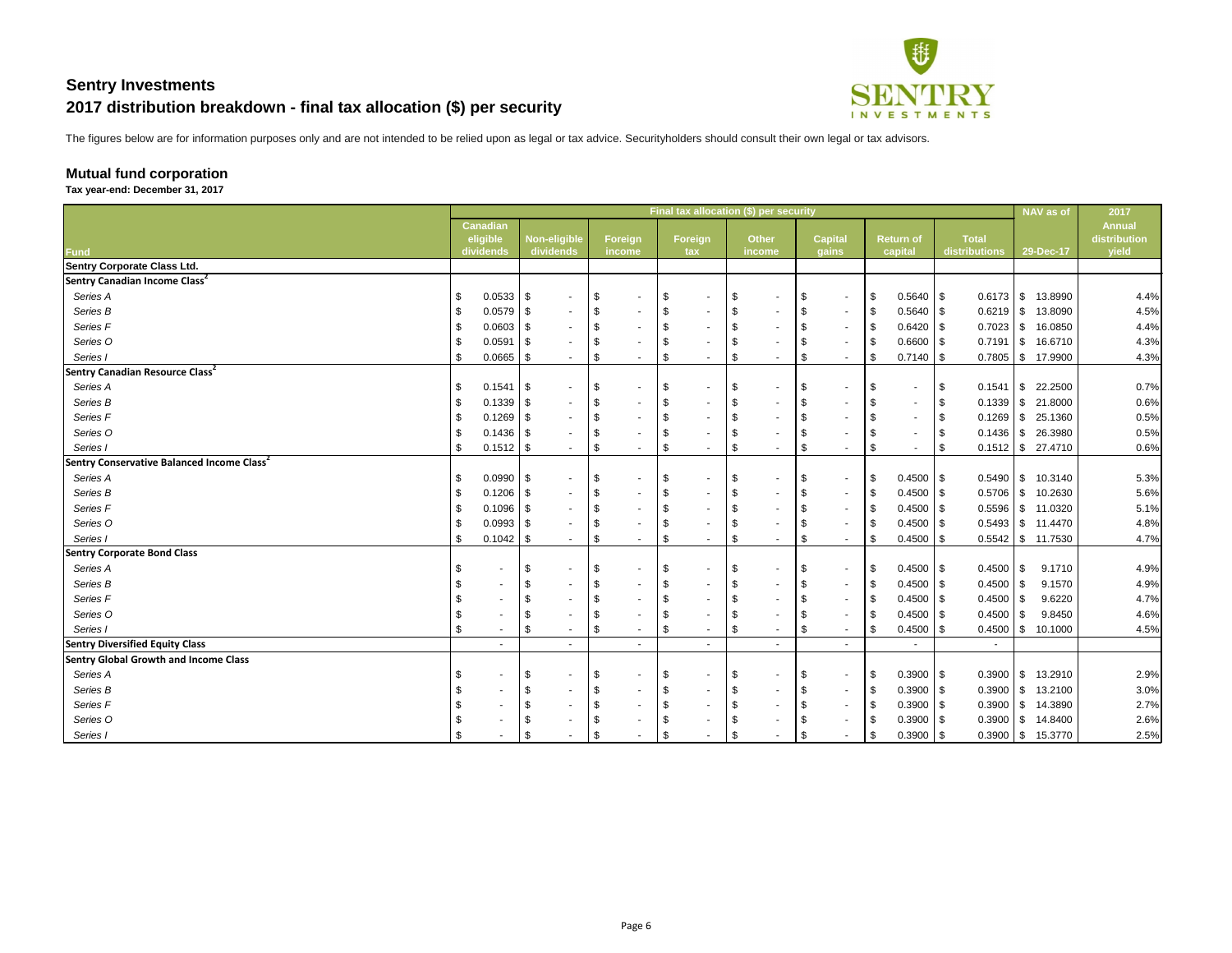

The figures below are for information purposes only and are not intended to be relied upon as legal or tax advice. Securityholders should consult their own legal or tax advisors.

## **Mutual fund corporation**

**Tax year-end: December 31, 2017**

|                                                        |                                          |               |                                  |                                |                                | Final tax allocation (\$) per security |               |                         |                            |                             |      |                               |            | NAV as of           | 2017                                   |
|--------------------------------------------------------|------------------------------------------|---------------|----------------------------------|--------------------------------|--------------------------------|----------------------------------------|---------------|-------------------------|----------------------------|-----------------------------|------|-------------------------------|------------|---------------------|----------------------------------------|
| <b>Fund</b>                                            | <b>Canadian</b><br>eligible<br>dividends |               | <b>Non-eligible</b><br>dividends | Foreign<br>income              | Foreign<br>tax                 | <b>Other</b><br>income                 |               | <b>Capital</b><br>gains |                            | <b>Return of</b><br>capital |      | <b>Total</b><br>distributions |            | 29-Dec-17           | <b>Annual</b><br>distribution<br>yield |
| <b>Sentry Corporate Class Ltd.</b>                     |                                          |               |                                  |                                |                                |                                        |               |                         |                            |                             |      |                               |            |                     |                                        |
| Sentry Canadian Income Class <sup>2</sup>              |                                          |               |                                  |                                |                                |                                        |               |                         |                            |                             |      |                               |            |                     |                                        |
| Series A                                               | \$                                       | $0.0533$ \$   |                                  | \$                             | \$                             | - \$<br>$\overline{\phantom{a}}$       | \$            | $\sim$                  | \$                         | $0.5640$ \$                 |      |                               |            | 13.8990             | 4.4%                                   |
| Series B                                               | 0.0579                                   | - \$          |                                  | \$                             | \$                             | $\overline{\phantom{a}}$               | \$            | $\sim$                  | -\$                        | $0.5640$ \ \$               |      | $0.6219$ \ \$                 |            | 13.8090             | 4.5%                                   |
| Series F                                               |                                          | $0.0603$ \$   |                                  |                                | \$                             | $\overline{\phantom{a}}$               |               | $\sim$                  | \$                         | $0.6420$ \ \$               |      | $0.7023$ \$                   |            | 16.0850             | 4.4%                                   |
| Series O                                               | 0.0591                                   | - \$          |                                  |                                | \$                             |                                        |               | $\sim$                  | -\$                        | $0.6600$ \$                 |      | $0.7191$ \$                   |            | 16.6710             | 4.3%                                   |
| Series I                                               | 0.0665                                   | - \$          |                                  | \$<br>$\sim$                   | $\sqrt[6]{3}$<br>$\sim$        | - \$<br>$\sim$                         | \$            | $\sim$                  | \$                         | $0.7140$ \ \$               |      | $0.7805$ \$                   |            | 17.9900             | 4.3%                                   |
| Sentry Canadian Resource Class <sup>2</sup>            |                                          |               |                                  |                                |                                |                                        |               |                         |                            |                             |      |                               |            |                     |                                        |
| Series A                                               | \$                                       | $0.1541$ \\$  | $\sim$                           | \$<br>$\overline{\phantom{a}}$ | \$<br>$\blacksquare$           | \$<br>$\sim$                           | \$            | $\sim$                  | \$                         | $\sim$                      | - \$ | 0.1541                        | $\sqrt{3}$ | 22.2500             | 0.7%                                   |
| Series B                                               |                                          | $0.1339$ \ \$ |                                  |                                | \$<br>$\overline{\phantom{a}}$ | $\overline{\phantom{a}}$               |               |                         | -\$                        |                             |      | $0.1339$ \ \ \$               |            | 21.8000             | 0.6%                                   |
| Series F                                               |                                          | $0.1269$ \ \$ |                                  |                                | \$                             | $\sim$                                 | - \$          |                         | \$                         |                             |      | $0.1269$ \$                   |            | 25.1360             | 0.5%                                   |
| Series O                                               |                                          |               |                                  |                                | \$                             | $\sim$                                 |               |                         | -\$                        |                             |      | $0.1436$ \$                   |            | 26.3980             | 0.5%                                   |
| Series I                                               |                                          | $0.1512$ \$   |                                  | \$<br>$\sim$                   | \$<br>$\sim$                   | - \$<br>$\sim$                         | $\sqrt[6]{3}$ | $\sim$                  | -\$                        | $\sim$                      |      |                               |            | $0.1512$ \$ 27.4710 | 0.6%                                   |
| Sentry Conservative Balanced Income Class <sup>2</sup> |                                          |               |                                  |                                |                                |                                        |               |                         |                            |                             |      |                               |            |                     |                                        |
| Series A                                               | $\boldsymbol{\mathsf{S}}$                | $0.0990$ \$   |                                  | \$<br>$\sim$                   | \$<br>$\blacksquare$           | -\$<br>$\overline{\phantom{a}}$        | -\$           | $\sim$                  | \$                         | $0.4500$ \$                 |      | $0.5490$ \ \$                 |            | 10.3140             | 5.3%                                   |
| Series B                                               |                                          | $0.1206$ \ \$ |                                  | \$                             | \$<br>$\blacksquare$           | $\overline{\phantom{a}}$               | \$            | $\sim$                  | \$                         | $0.4500$ \ \$               |      | $0.5706$ \ \ \$               |            | 10.2630             | 5.6%                                   |
| Series F                                               |                                          | $0.1096$ \ \$ |                                  |                                | \$<br>۰.                       | - 33<br>$\sim$                         |               | $\sim$                  | \$                         | $0.4500$ \ \$               |      | $0.5596$   \$                 |            | 11.0320             | 5.1%                                   |
| Series O                                               |                                          | $0.0993$ \$   |                                  |                                | \$<br>$\blacksquare$           |                                        |               | $\sim$                  | -\$                        | $0.4500$ \ \$               |      | $0.5493$ \$                   |            | 11.4470             | 4.8%                                   |
| Series I                                               | 0.1042<br>\$                             | - \$          |                                  | \$<br>$\sim$                   | $\sqrt[6]{3}$<br>۰.            | - \$<br>٠                              | \$            | $\sim$                  | $\boldsymbol{\mathsf{\$}}$ | $0.4500$ \ \$               |      |                               |            | 11.7530             | 4.7%                                   |
| <b>Sentry Corporate Bond Class</b>                     |                                          |               |                                  |                                |                                |                                        |               |                         |                            |                             |      |                               |            |                     |                                        |
| Series A                                               | \$                                       |               | \$                               | \$<br>$\sim$                   | \$<br>۰.                       | -\$<br>$\sim$                          | \$            | $\sim$                  | \$                         | $0.4500$ \ \$               |      | 0.4500                        | l \$       | 9.1710              | 4.9%                                   |
| Series B                                               |                                          | \$            |                                  |                                | \$<br>۰                        | $\sim$                                 | - \$          | $\sim$                  | \$                         | $0.4500$ \ \$               |      | 0.4500                        | \$         | 9.1570              | 4.9%                                   |
| Series F                                               |                                          | \$            |                                  |                                | \$<br>۰                        | $\sim$                                 | \$            | $\sim$                  | \$                         | $0.4500$ \ \$               |      | 0.4500                        | l \$       | 9.6220              | 4.7%                                   |
| Series O                                               | S                                        |               |                                  |                                | \$                             |                                        |               | $\sim$                  | \$                         | $0.4500$ \$                 |      | 0.4500                        | 8          | 9.8450              | 4.6%                                   |
| Series I                                               | \$                                       | \$            | $\sim$                           | \$<br>$\sim$                   | \$<br>$\sim$                   | - \$<br>$\sim$                         | \$            | $\sim$                  | $\boldsymbol{\mathsf{\$}}$ | $0.4500$ \ \$               |      | 0.4500                        | l \$       | 10.1000             | 4.5%                                   |
| <b>Sentry Diversified Equity Class</b>                 |                                          |               |                                  |                                |                                |                                        |               |                         |                            |                             |      |                               |            |                     |                                        |
| <b>Sentry Global Growth and Income Class</b>           |                                          |               |                                  |                                |                                |                                        |               |                         |                            |                             |      |                               |            |                     |                                        |
| Series A                                               | \$                                       |               | \$                               | \$                             | \$                             | \$<br>$\sim$                           | \$            |                         | \$                         | $0.3900$ \$                 |      |                               |            | $0.3900$ \$ 13.2910 | 2.9%                                   |
| Series B                                               | $\frac{1}{2}$                            | \$            |                                  | \$                             | \$                             |                                        | \$            |                         | \$                         | $0.3900$ \$                 |      | $0.3900$ \$                   |            | 13.2100             | 3.0%                                   |
| Series F                                               | \$                                       |               |                                  |                                | \$                             |                                        |               |                         | - \$                       | $0.3900$ \$                 |      |                               |            | $0.3900$ \$ 14.3890 | 2.7%                                   |
| Series O                                               | \$                                       |               |                                  |                                |                                |                                        |               |                         | \$                         | $0.3900$ \$                 |      | $0.3900$ \$                   |            | 14.8400             | 2.6%                                   |
| Series I                                               |                                          |               |                                  |                                |                                |                                        |               |                         |                            | $0.3900$ \$                 |      |                               |            | $0.3900$ \$ 15.3770 | 2.5%                                   |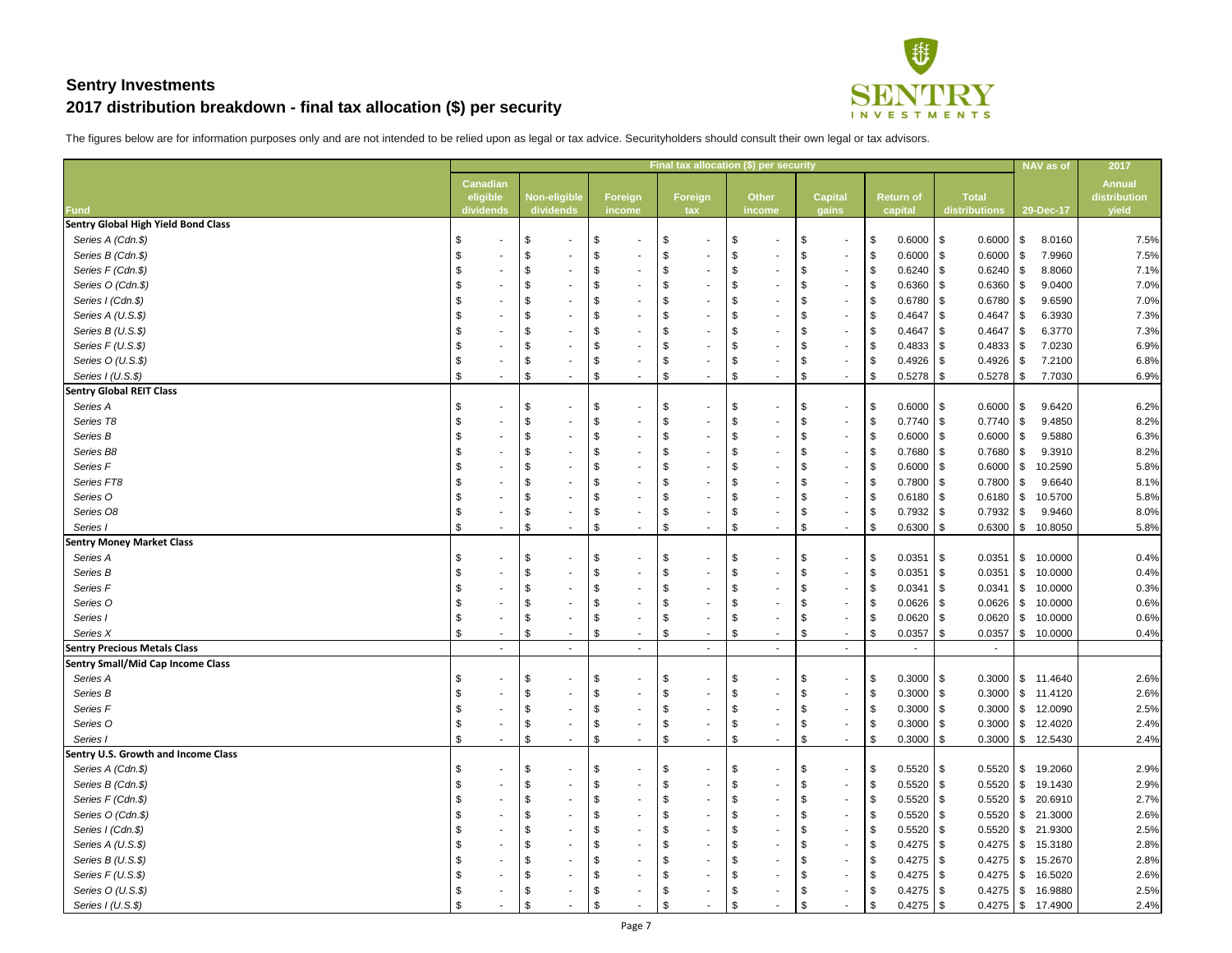

|                                            |                 |                                |                                |                                           | Final tax allocation (\$) per security |                |                       |                      | NAV as of                | 2017          |
|--------------------------------------------|-----------------|--------------------------------|--------------------------------|-------------------------------------------|----------------------------------------|----------------|-----------------------|----------------------|--------------------------|---------------|
|                                            | <b>Canadian</b> |                                |                                |                                           |                                        |                |                       |                      |                          | <b>Annual</b> |
|                                            | eligible        | <b>Non-eligible</b>            | Foreign                        | <b>Foreign</b>                            | <b>Other</b>                           | <b>Capital</b> | <b>Return of</b>      | <b>Total</b>         |                          | distribution  |
| <b>Fund</b>                                | dividends       | dividends                      | income                         | tax                                       | income                                 | gains          | capital               | distributions        | 29-Dec-17                | yield         |
| <b>Sentry Global High Yield Bond Class</b> |                 |                                |                                |                                           |                                        |                |                       |                      |                          |               |
| Series A (Cdn.\$)                          |                 | \$<br>$\overline{\phantom{a}}$ | \$                             | \$                                        | -\$                                    |                | \$<br>$0.6000$ \ \$   | $0.6000$ \$          | 8.0160                   | 7.5%          |
| Series B (Cdn.\$)                          |                 | \$                             | -\$                            |                                           | -\$                                    | $\sim$         | \$<br>$0.6000$ \$     | $0.6000$ \$          | 7.9960                   | 7.5%          |
| Series F (Cdn.\$)                          |                 | \$                             | - 3                            | \$                                        | - \$                                   | $\sim$         | $0.6240$ \ \$<br>\$   | $0.6240$ \ \$        | 8.8060                   | 7.1%          |
| Series O (Cdn.\$)                          |                 | \$                             |                                |                                           |                                        | $\sim$         | \$<br>0.6360          | 0.6360               | 9.0400<br>l SS           | 7.0%          |
| Series I (Cdn.\$)                          |                 | \$                             |                                | \$                                        | - \$                                   |                | $0.6780$ \$<br>\$     | 0.6780               | 9.6590<br>l \$           | 7.0%          |
| Series A (U.S.\$)                          |                 | \$                             |                                |                                           |                                        | $\sim$         | \$<br>$0.4647$ \$     | 0.4647               | 6.3930<br>l Si           | 7.3%          |
| Series B (U.S.\$)                          |                 | \$                             |                                | \$                                        | - \$                                   | $\sim$         | $0.4647$ \\$<br>\$    | 0.4647               | 6.3770<br>l \$           | 7.3%          |
| Series F (U.S.\$)                          |                 | \$                             |                                | \$                                        |                                        | $\sim$         | \$<br>$0.4833$ \$     | $0.4833$ \$          | 7.0230                   | 6.9%          |
| Series O (U.S.\$)                          |                 | \$                             | - 3                            | \$                                        | - \$                                   | $\sim$         | \$<br>$0.4926$ \$     | $0.4926$ \$          | 7.2100                   | 6.8%          |
| Series I (U.S.\$)                          |                 | \$                             | \$<br>$\overline{\phantom{a}}$ | $\frac{1}{2}$<br>$\overline{\phantom{a}}$ | \$                                     | \$<br>$\sim$   | \$<br>$0.5278$ \$     |                      | 7.7030                   | 6.9%          |
| <b>Sentry Global REIT Class</b>            |                 |                                |                                |                                           |                                        |                |                       |                      |                          |               |
| Series A                                   |                 | \$<br>$\blacksquare$           | - \$                           | \$                                        | $\sim$                                 | $\sim$         | 0.6000<br>\$          | $0.6000$ \$<br>1 S   | 9.6420                   | 6.2%          |
| Series T8                                  |                 | \$                             | -\$                            | \$                                        | -\$                                    | $\sim$         | 0.7740<br>\$          | $0.7740$ \$<br>1 S   | 9.4850                   | 8.2%          |
| Series B                                   |                 | \$                             |                                |                                           |                                        | $\sim$         | \$<br>0.6000          | $0.6000$ \$          | 9.5880                   | 6.3%          |
| Series B8                                  |                 | \$                             | - 3                            |                                           | - \$                                   | $\sim$         | $0.7680$ \ \$<br>\$   | $0.7680$ \ \$        | 9.3910                   | 8.2%          |
| Series F                                   |                 | \$                             |                                |                                           |                                        | $\sim$         | \$<br>0.6000          | $0.6000$ \$<br>l S   | 10.2590                  | 5.8%          |
| Series FT8                                 |                 | \$                             |                                |                                           | - \$                                   |                | 0.7800<br>\$          | 0.7800<br>l \$       | 9.6640<br>l \$           | 8.1%          |
| Series O                                   |                 | \$                             |                                |                                           |                                        | $\sim$         | \$<br>0.6180          | $0.6180$ \$          | 10.5700                  | 5.8%          |
| Series O8                                  |                 | \$                             | -\$                            | \$                                        | -\$                                    | $\sim$         | $0.7932$ \$<br>\$     | $0.7932$ \$          | 9.9460                   | 8.0%          |
| Series I                                   | $\sim$          | \$<br>$\sim$                   | \$<br>$\sim$                   | $\boldsymbol{\mathsf{\$}}$<br>$\sim$      | $\boldsymbol{\mathsf{\$}}$             | \$<br>$\sim$   | \$<br>0.6300          | $0.6300$ \$<br>l S   | 10.8050                  | 5.8%          |
| <b>Sentry Money Market Class</b>           |                 |                                |                                |                                           |                                        |                |                       |                      |                          |               |
| Series A                                   |                 | \$<br>$\blacksquare$           | - \$                           | \$                                        | $\sim$                                 |                | $0.0351$ \$<br>\$     | 0.0351               | $1$ \$<br>10.0000        | 0.4%          |
| Series B                                   |                 | \$                             | \$                             | \$                                        | \$                                     | $\sim$         | \$<br>0.0351          | 0.0351<br>$\sqrt{3}$ | 10.0000<br>l \$          | 0.4%          |
| Series <sub>F</sub>                        |                 | \$                             |                                | \$                                        | - \$                                   |                | $0.0341$ \$<br>\$     | 0.0341               | 10.0000<br>$\sqrt{3}$    | 0.3%          |
| Series O                                   |                 | $\boldsymbol{\mathsf{\$}}$     | \$                             | \$                                        | $\sqrt[6]{3}$                          | -\$            | $0.0626$ \$<br>\$     | $0.0626$ \$          | 10.0000                  | 0.6%          |
| Series I                                   |                 | \$                             | \$                             | \$                                        | \$                                     |                | $0.0620$ \$<br>\$     | $0.0620$ \$          | 10.0000                  | 0.6%          |
| Series X                                   | \$              | $\boldsymbol{\mathsf{\$}}$     | \$                             | \$                                        | \$                                     | \$             | \$<br>$0.0357$ \ \ \$ | $0.0357$ \ \ \$      | 10.0000                  | 0.4%          |
| <b>Sentry Precious Metals Class</b>        |                 | ۰.                             |                                | $\sim$                                    |                                        |                |                       |                      |                          |               |
| <b>Sentry Small/Mid Cap Income Class</b>   |                 |                                |                                |                                           |                                        |                |                       |                      |                          |               |
| Series A                                   |                 | \$<br>$\blacksquare$           |                                | \$                                        | - \$                                   |                | $0.3000$ \$<br>\$     |                      | $0.3000$ \$ 11.4640      | 2.6%          |
| Series B                                   |                 | \$                             |                                |                                           | -\$                                    |                | $0.3000$ \$<br>\$     | $0.3000$ \$          | 11.4120                  | 2.6%          |
| Series <sub>F</sub>                        |                 | \$                             |                                |                                           | - \$                                   |                | 0.3000<br>\$          | $0.3000$ \ \ \$      | 12.0090                  | 2.5%          |
| Series O                                   |                 | \$                             |                                | \$                                        | -\$                                    |                | $0.3000$ \$<br>\$     | $0.3000$ \ \ \$      | 12.4020                  | 2.4%          |
| Series I                                   |                 | \$                             | -\$                            | \$                                        | \$                                     | - \$           | $0.3000$ \ \$<br>\$   |                      | $0.3000$ \ \$ 12.5430    | 2.4%          |
| Sentry U.S. Growth and Income Class        |                 |                                |                                |                                           |                                        |                |                       |                      |                          |               |
| Series A (Cdn.\$)                          |                 | \$                             |                                | \$                                        | - \$                                   |                | $0.5520$ \$<br>\$     | $0.5520$ \ \$        | 19.2060                  | 2.9%          |
| Series B (Cdn.\$)                          |                 | \$                             |                                |                                           | -\$                                    |                | \$<br>$0.5520$ \$     | $0.5520$ \$          | 19.1430                  | 2.9%          |
| Series F (Cdn.\$)                          |                 | \$                             |                                |                                           | - \$                                   |                | $0.5520$   \$<br>\$   | $0.5520$ \ \$        | 20.6910                  | 2.7%          |
| Series O (Cdn.\$)                          |                 | \$                             |                                |                                           | - \$                                   |                | \$<br>$0.5520$ \$     | $0.5520$ \$          | 21.3000                  | 2.6%          |
|                                            |                 |                                |                                |                                           |                                        |                |                       |                      |                          |               |
| Series I (Cdn.\$)                          |                 | \$                             |                                |                                           |                                        |                | 0.5520<br>\$          | 0.5520               | $\frac{1}{3}$<br>21.9300 | 2.5%          |
| Series A (U.S.\$)                          |                 | \$                             |                                |                                           | - \$                                   |                | \$                    |                      | 15.3180                  | 2.8%          |
| Series B (U.S.\$)                          |                 | \$                             |                                |                                           | - \$                                   |                | \$                    |                      | 15.2670                  | 2.8%          |
| Series $F(U.S.\$ \$)                       |                 | \$                             |                                |                                           | - \$                                   |                | \$                    |                      | 16.5020                  | 2.6%          |
| Series O (U.S.\$)                          |                 |                                |                                |                                           |                                        |                | $0.4275$ \\$<br>\$    |                      | 16.9880                  | 2.5%          |
| Series I (U.S.\$)                          |                 |                                |                                |                                           |                                        |                | $0.4275$ \$<br>\$     |                      | $0.4275$ \$ 17.4900      | 2.4%          |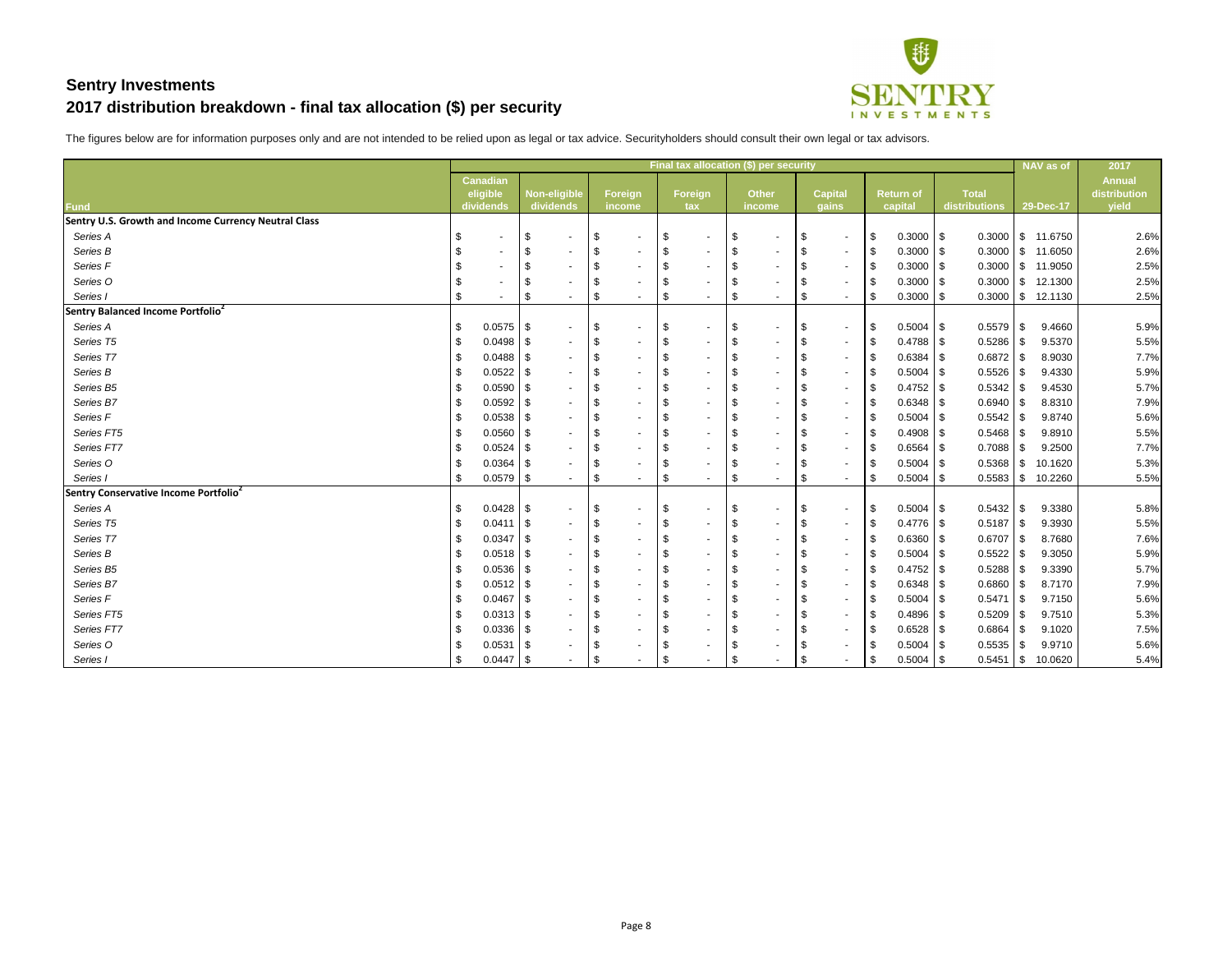

|                                                      |                             |                            |                          |                        | <b>Final tax allocation (\$) per security</b> |                            |        |                                     |               |                  |                 |               | NAV as of           | 2017                          |
|------------------------------------------------------|-----------------------------|----------------------------|--------------------------|------------------------|-----------------------------------------------|----------------------------|--------|-------------------------------------|---------------|------------------|-----------------|---------------|---------------------|-------------------------------|
|                                                      | <b>Canadian</b><br>eligible |                            | <b>Non-eligible</b>      | Foreign                | Foreign                                       | <b>Other</b>               |        | <b>Capital</b>                      |               | <b>Return of</b> | <b>Total</b>    |               |                     | <b>Annual</b><br>distribution |
| <b>Fund</b>                                          | dividends                   |                            | dividends                | income                 | tax                                           | income                     |        | gains                               |               | capital          | distributions   |               | 29-Dec-17           | yield                         |
| Sentry U.S. Growth and Income Currency Neutral Class |                             |                            |                          |                        |                                               |                            |        |                                     |               |                  |                 |               |                     |                               |
| Series A                                             |                             | $\boldsymbol{\mathsf{\$}}$ | $\sim$                   | \$<br>$\sim$           | \$                                            | $\boldsymbol{\mathsf{\$}}$ | $\sim$ | \$<br>$\sim$                        | $\sqrt{3}$    | $0.3000$ \ \$    |                 |               | $0.3000$ \$ 11.6750 | 2.6%                          |
| Series B                                             | $\sim$                      | \$                         | $\blacksquare$           | -\$<br>$\blacksquare$  | \$<br>$\overline{\phantom{a}}$                | \$                         | $\sim$ | \$<br>$\sim$                        | \$            | $0.3000$ \$      | $0.3000$ \$     |               | 11.6050             | 2.6%                          |
| Series F                                             |                             | $\sqrt[6]{3}$              |                          | -\$<br>$\blacksquare$  | \$                                            | $\boldsymbol{\mathsf{\$}}$ |        | \$<br>$\sim$                        | \$            | $0.3000$ \$      | $0.3000$ \$     |               | 11.9050             | 2.5%                          |
| Series O                                             |                             | $\boldsymbol{\mathsf{S}}$  |                          | - \$                   | \$                                            | $\boldsymbol{\mathsf{S}}$  |        | - \$<br>$\sim$                      | $\sqrt[6]{3}$ | $0.3000$ \ \$    | 0.3000          | $\sqrt{3}$    | 12.1300             | 2.5%                          |
| Series                                               | \$.                         | $\frac{1}{2}$              | $\blacksquare$           | \$<br>$\sim$           | $\$\$<br>۰                                    | $\boldsymbol{\mathsf{S}}$  |        | $\boldsymbol{\mathsf{S}}$<br>$\sim$ | $\frac{1}{2}$ | $0.3000$ \ \$    | $0.3000$ \$     |               | 12.1130             | 2.5%                          |
| Sentry Balanced Income Portfolio <sup>2</sup>        |                             |                            |                          |                        |                                               |                            |        |                                     |               |                  |                 |               |                     |                               |
| Series A                                             | - \$                        | $0.0575$ \$                | $\overline{\phantom{a}}$ | -\$<br>$\blacksquare$  | \$                                            | $\boldsymbol{\mathsf{\$}}$ | $\sim$ | \$<br>$\sim$                        | \$            | $0.5004$ \$      | $0.5579$ \$     |               | 9.4660              | 5.9%                          |
| Series T5                                            |                             | $0.0498$ \ \ \$            | $\blacksquare$           | - \$                   | \$                                            | $\boldsymbol{\mathsf{\$}}$ |        | \$<br>$\sim$                        | \$            | $0.4788$ \ \ \$  | 0.5286          | $\sqrt{3}$    | 9.5370              | 5.5%                          |
| Series T7                                            | 0.0488                      | l \$                       | $\blacksquare$           |                        | \$                                            | $\mathfrak{S}$             |        | \$<br>$\sim$                        | \$            | $0.6384$ \ \$    | 0.6872          | -\$           | 8.9030              | 7.7%                          |
| Series B                                             | 0.0522                      | l \$                       |                          |                        | \$                                            | $\boldsymbol{\mathsf{S}}$  |        | - \$<br>$\sim$                      | \$            | $0.5004$ \ \$    | 0.5526          | 8             | 9.4330              | 5.9%                          |
| Series B5                                            |                             | $0.0590$ \$                | $\blacksquare$           |                        | $\boldsymbol{\mathsf{\$}}$                    | $\boldsymbol{\mathsf{\$}}$ |        | - \$<br>$\sim$                      | \$            | $0.4752$ \$      | 0.5342          | <b>S</b>      | 9.4530              | 5.7%                          |
| Series B7                                            |                             | $0.0592$ \$                |                          |                        | $\boldsymbol{\mathsf{S}}$                     | $\boldsymbol{\mathsf{S}}$  |        | \$<br>$\sim$                        | $\frac{1}{2}$ | $0.6348$ \$      | 0.6940          | l \$          | 8.8310              | 7.9%                          |
| Series F                                             |                             | $0.0538$ \$                | ۰.                       |                        | \$                                            | $\mathcal{S}$              |        | $\sim$                              | \$            | $0.5004$ \ \$    | 0.5542          | - \$          | 9.8740              | 5.6%                          |
| Series FT5                                           | 0.0560                      | l \$                       | $\blacksquare$           |                        | \$                                            | $\boldsymbol{\mathsf{S}}$  |        | $\sim$                              | \$            | $0.4908$ \ \$    | 0.5468          | \$            | 9.8910              | 5.5%                          |
| Series FT7                                           |                             | $0.0524$ \$                | $\overline{\phantom{a}}$ |                        | \$                                            | $\boldsymbol{\mathsf{\$}}$ |        | $\sim$                              | \$            | $0.6564$ \ \$    | 0.7088          | $\sqrt{3}$    | 9.2500              | 7.7%                          |
| Series O                                             |                             | $0.0364$ \$                | $\sim$                   | - \$                   | \$                                            | $\boldsymbol{\mathsf{\$}}$ |        | - \$<br>$\sim$                      | \$            | $0.5004$ \ \$    | $0.5368$ \ \ \$ |               | 10.1620             | 5.3%                          |
| Series                                               | - \$                        | $0.0579$ \ \ \$            | $\sim$                   | \$<br>$\sim$           | $\boldsymbol{\mathsf{S}}$                     | $\boldsymbol{\mathsf{S}}$  |        | \$<br>$\sim$                        | \$            | $0.5004$ \ \$    | $0.5583$ \$     |               | 10.2260             | 5.5%                          |
| Sentry Conservative Income Portfolio <sup>2</sup>    |                             |                            |                          |                        |                                               |                            |        |                                     |               |                  |                 |               |                     |                               |
| Series A                                             | - \$                        |                            | $\overline{\phantom{a}}$ | - \$                   | \$                                            | \$                         |        | \$<br>$\sim$                        | \$            | $0.5004$ \ \$    | 0.5432          | \$            | 9.3380              | 5.8%                          |
| Series T5                                            |                             | $0.0411$ \\$               | $\sim$                   | - \$<br>$\blacksquare$ | \$<br>$\sim$                                  | $\boldsymbol{\mathsf{\$}}$ | $\sim$ | \$<br>$\sim$                        | \$            | $0.4776$ \\$     | 0.5187          | $\sqrt[3]{2}$ | 9.3930              | 5.5%                          |
| Series T7                                            |                             | $0.0347$ \ \ \$            | $\blacksquare$           | - \$                   | \$                                            | $\frac{1}{2}$              |        | \$<br>$\sim$                        | \$            | $0.6360$ \ \$    | 0.6707          | \$            | 8.7680              | 7.6%                          |
| Series B                                             |                             | $0.0518$ \$                | $\blacksquare$           |                        | \$                                            | $\boldsymbol{\mathsf{S}}$  |        | \$<br>$\sim$                        | \$            | $0.5004$ \ \$    | 0.5522          | \$            | 9.3050              | 5.9%                          |
| Series B5                                            | 0.0536                      | l \$                       |                          |                        | \$                                            | $\mathcal{S}$              |        | $\sim$                              | \$            |                  | 0.5288          | - \$          | 9.3390              | 5.7%                          |
| Series B7                                            | 0.0512                      | l \$                       |                          |                        | \$                                            | $\sqrt[6]{\frac{1}{2}}$    |        | -56<br>$\sim$                       | \$            | $0.6348$ \ \$    | 0.6860          | $\sqrt{3}$    | 8.7170              | 7.9%                          |
| Series F                                             |                             | $0.0467$ \ \ \$            | $\sim$                   |                        | $\boldsymbol{\mathsf{\$}}$<br>$\blacksquare$  | $\sqrt[6]{\frac{1}{2}}$    |        | $\sim$                              | \$            | $0.5004$ \ \$    | 0.5471          | $\sqrt{3}$    | 9.7150              | 5.6%                          |
| Series FT5                                           |                             | $0.0313$ \$                |                          |                        | $\boldsymbol{\mathsf{S}}$                     | $\boldsymbol{\mathsf{S}}$  |        | \$<br>$\sim$                        | \$            | $0.4896$ \ \$    | $0.5209$ \$     |               | 9.7510              | 5.3%                          |
| Series FT7                                           |                             | $0.0336$ \$                |                          |                        | \$                                            | $\boldsymbol{\mathsf{S}}$  |        | $\sim$                              | \$            |                  | 0.6864          | $\sqrt{3}$    | 9.1020              | 7.5%                          |
| Series O                                             | 0.0531                      | l \$                       |                          |                        | \$                                            | \$                         |        | $\sim$                              | \$            | $0.5004$ \$      | 0.5535          | $\sqrt{3}$    | 9.9710              | 5.6%                          |
| Series I                                             |                             | $0.0447$ \ \ \$            | $\blacksquare$           | -\$<br>$\blacksquare$  | $\frac{1}{2}$                                 | $\boldsymbol{\mathsf{S}}$  |        | \$<br>$\sim$                        | \$            | $0.5004$ \$      | 0.5451          | $\sqrt{3}$    | 10.0620             | 5.4%                          |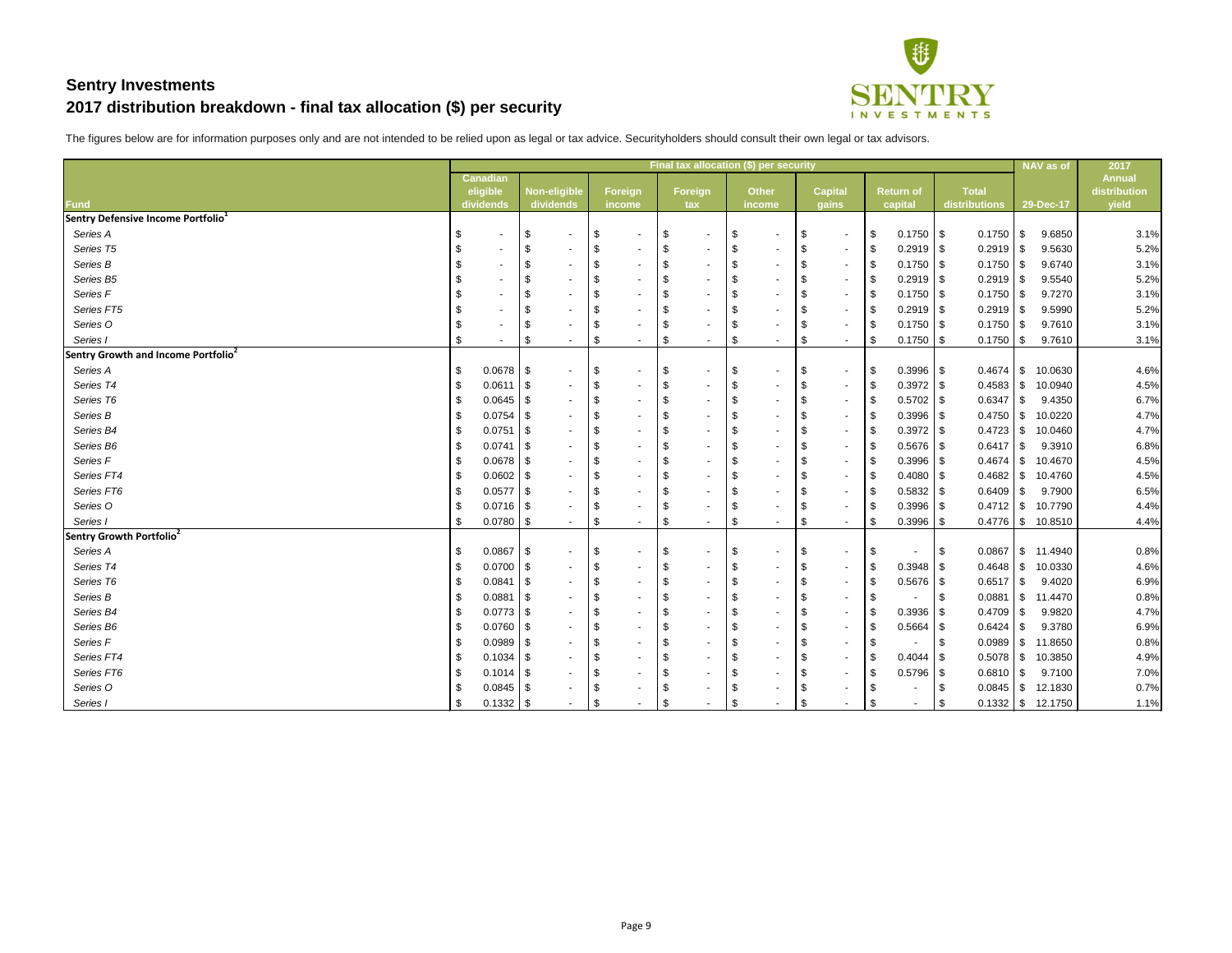

|                                                 |                 |             |                     |                       |                                | Final tax allocation (\$) per security |                                      |                        |                 | NAV as of             | 2017          |
|-------------------------------------------------|-----------------|-------------|---------------------|-----------------------|--------------------------------|----------------------------------------|--------------------------------------|------------------------|-----------------|-----------------------|---------------|
|                                                 | <b>Canadian</b> |             |                     |                       |                                |                                        |                                      |                        |                 |                       | <b>Annual</b> |
|                                                 | eligible        |             | <b>Non-eligible</b> | <b>Foreign</b>        | <b>Foreign</b>                 | <b>Other</b>                           | <b>Capital</b>                       | <b>Return of</b>       | <b>Total</b>    |                       | distribution  |
| <b>Fund</b>                                     | dividends       |             | dividends           | income                | tax                            | income                                 | gains                                | capital                | distributions   | 29-Dec-17             | yield         |
| Sentry Defensive Income Portfolio <sup>1</sup>  |                 |             |                     |                       |                                |                                        |                                      |                        |                 |                       |               |
| Series A                                        | \$              |             | \$<br>$\sim$        | -\$<br>$\blacksquare$ | \$<br>۰                        | \$<br>$\sim$                           | \$<br>$\sim$                         | $0.1750$ \ \ \$<br>-\$ | 0.1750          | 9.6850<br>l \$        | 3.1%          |
| Series T5                                       | \$              |             | -\$<br>$\sim$       | -\$                   | \$<br>۰                        | \$                                     | \$<br>$\sim$                         | $0.2919$ \$<br>-S      | 0.2919          | 9.5630<br>l \$        | 5.2%          |
| Series B                                        | \$              |             | \$<br>$\sim$        | -\$                   | \$<br>۰                        | \$<br>$\sim$                           | $\boldsymbol{\mathsf{S}}$<br>$\sim$  | $0.1750$ \ \$<br>-\$   | 0.1750          | 9.6740<br>IS.         | 3.1%          |
| Series B5                                       |                 |             | \$<br>$\sim$        |                       | \$<br>۰                        | -\$                                    | \$<br>$\sim$                         | $0.2919$ \$<br>-\$     | 0.2919          | 9.5540<br>l \$        | 5.2%          |
| Series F                                        | \$              |             | -\$<br>$\sim$       | - \$                  | \$<br>۰                        | $\sqrt[6]{3}$                          | $\boldsymbol{\mathsf{S}}$<br>$\sim$  | $0.1750$ \ \ \$<br>-\$ | 0.1750          | 9.7270<br>l \$        | 3.1%          |
| Series FT5                                      |                 |             | -\$<br>$\sim$       |                       | \$<br>۰                        | \$<br>$\sim$                           | \$<br>$\sim$                         | $0.2919$ \$<br>-S      | $0.2919$ \$     | 9.5990                | 5.2%          |
| Series O                                        | \$              |             | -\$                 | - \$                  | \$                             | \$                                     | \$<br>$\sim$                         | \$                     | 0.1750          | 9.7610<br>l \$        | 3.1%          |
| Series I                                        | \$              | $\sim$      | \$<br>$\sim$        | \$<br>$\sim$          | \$<br>۰.                       | \$<br>$\sim$                           | $\boldsymbol{\mathsf{S}}$<br>$\sim$  | $0.1750$ \ \$<br>- \$  | $0.1750$ \ \$   | 9.7610                | 3.1%          |
| Sentry Growth and Income Portfolio <sup>2</sup> |                 |             |                     |                       |                                |                                        |                                      |                        |                 |                       |               |
| Series A                                        | S.              | $0.0678$ \$ | $\sim$              | - \$<br>$\sim$        | \$<br>۰                        | \$<br>$\sim$                           | $\sqrt[6]{2}$<br>$\sim$              | $0.3996$ \$<br>-\$     |                 | 10.0630               | 4.6%          |
| Series T4                                       | \$              | $0.0611$ \$ | $\sim$              | -\$<br>$\sim$         | \$<br>۰.                       | \$<br>$\sim$                           | $\sqrt[6]{2}$<br>$\sim$              | $0.3972$ \$<br>\$      |                 | 10.0940               | 4.5%          |
| Series T6                                       |                 | $0.0645$ \$ | $\sim$              |                       | \$<br>۰                        | \$<br>$\sim$                           | \$<br>$\sim$                         | $0.5702$ \$<br>-\$     | 0.6347          | 9.4350<br>l \$        | 6.7%          |
| Series B                                        |                 | $0.0754$ \$ | $\sim$              |                       | \$<br>۰                        | \$                                     | \$<br>$\sim$                         | $0.3996$ \$<br>-\$     | 0.4750          | 10.0220<br>$\sqrt{3}$ | 4.7%          |
| Series B4                                       |                 | $0.0751$ \$ | $\sim$              |                       | \$<br>۰                        | -\$                                    | \$<br>$\sim$                         | $0.3972$ \$<br>- \$    | 0.4723          | 10.0460<br>l \$       | 4.7%          |
| Series B6                                       |                 | $0.0741$ \$ | $\sim$              |                       | \$<br>۰                        | \$<br>$\sim$                           | \$<br>$\sim$                         | $0.5676$ \$<br>-\$     | 0.6417          | 9.3910<br><b>\$</b>   | 6.8%          |
| Series F                                        |                 |             | $\sim$              |                       | \$                             | £                                      | \$<br>$\sim$                         | $0.3996$ \$<br>-S      | 0.4674          | $\sqrt{3}$<br>10.4670 | 4.5%          |
| Series FT4                                      |                 | $0.0602$ \$ | $\sim$              | $\sim$                | \$<br>۰                        | \$                                     | \$<br>$\sim$                         | $0.4080$ \ \$<br>-\$   |                 | 10.4760               | 4.5%          |
| Series FT6                                      |                 |             | $\sim$              |                       | \$                             | £                                      | \$<br>$\sim$                         | $0.5832$ \$<br>-S      | 0.6409          | 9.7900<br>l \$        | 6.5%          |
| Series O                                        |                 | $0.0716$ \$ | $\sim$              | $\sim$                | \$                             | -\$                                    | \$<br>$\sim$                         | $0.3996$ \$<br>-\$     | $0.4712$ \$     | 10.7790               | 4.4%          |
| Series I                                        | \$              | 0.0780      | \$<br>$\sim$        | \$<br>н.              | \$<br>$\overline{\phantom{a}}$ | \$<br>$\sim$                           | $\boldsymbol{\mathsf{\$}}$<br>$\sim$ | 0.3996<br>- \$         |                 | 10.8510               | 4.4%          |
| Sentry Growth Portfolio <sup>2</sup>            |                 |             |                     |                       |                                |                                        |                                      |                        |                 |                       |               |
| Series A                                        |                 | $0.0867$ \$ | $\sim$              |                       | \$                             | \$<br>$\sim$                           | $\sqrt[6]{2}$<br>$\sim$              | - \$                   | 0.0867          | $\frac{1}{3}$ 11.4940 | 0.8%          |
| Series T4                                       |                 | $0.0700$ \$ | $\sim$              | -\$<br>$\sim$         | \$<br>۰                        | \$<br>$\sim$                           | $\boldsymbol{\mathsf{S}}$<br>$\sim$  | $0.3948$ \$<br>-\$     | $0.4648$ \ \ \$ | 10.0330               | 4.6%          |
| Series T6                                       |                 | $0.0841$ \$ | $\sim$              |                       | \$                             | $\mathfrak{F}$                         | $\sqrt[6]{\frac{1}{2}}$<br>$\sim$    | $0.5676$ \$<br>- \$    | $0.6517$ \\$    | 9.4020                | 6.9%          |
| Series B                                        |                 | 0.0881      | -\$<br>$\sim$       | $\sim$                | \$                             | -\$<br>$\sim$                          | $\boldsymbol{\mathsf{S}}$<br>$\sim$  | - \$<br>$\sim$         | 0.0881          | 11.4470<br>l \$       | 0.8%          |
| Series B4                                       |                 | $0.0773$ \$ | $\sim$              |                       |                                |                                        |                                      | $0.3936$ \$            | $0.4709$ \\$    | 9.9820                | 4.7%          |
| Series B6                                       | \$              | $0.0760$ \$ | $\sim$              |                       | \$                             | -\$                                    | \$<br>$\sim$                         | $0.5664$ \$<br>-\$     |                 | 9.3780                | 6.9%          |
| Series F                                        |                 | $0.0989$ \$ | $\sim$              |                       | \$                             |                                        | \$                                   | -S                     | $0.0989$ \$     | 11.8650               | 0.8%          |
| Series FT4                                      |                 |             |                     |                       |                                |                                        | \$                                   | - SS                   | $0.5078$   \$   | 10.3850               | 4.9%          |
| Series FT6                                      |                 |             |                     |                       | S                              | £                                      | \$<br>$\sim$                         | $0.5796$ \$<br>- \$    | $0.6810$ \ \$   | 9.7100                | 7.0%          |
| Series O                                        |                 | $0.0845$ \$ | $\sim$              |                       | \$                             |                                        | \$                                   |                        | $0.0845$ \ \ \$ | 12.1830               | 0.7%          |
| Series I                                        |                 | $0.1332$ \$ |                     | - \$                  | \$                             | £                                      | $\boldsymbol{\mathsf{S}}$            | -S                     |                 | $0.1332$ \ \$ 12.1750 | 1.1%          |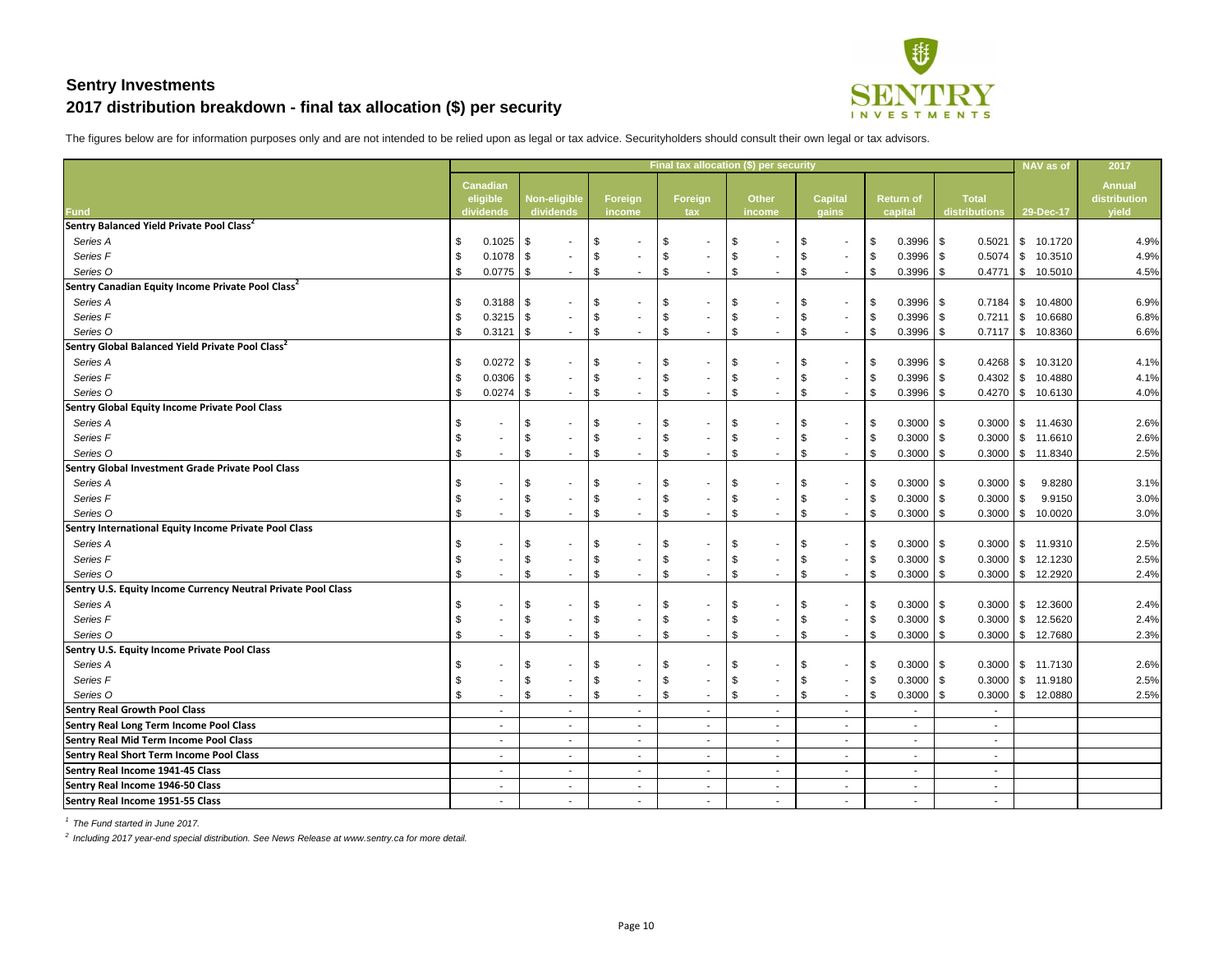

The figures below are for information purposes only and are not intended to be relied upon as legal or tax advice. Securityholders should consult their own legal or tax advisors.

|                                                               |                            |                          |      |                          |               |                          |                           | Final tax allocation (\$) per security |                            |               |                           |        |                           |                  |                 |            | <b>NAV</b> as of               | 2017          |
|---------------------------------------------------------------|----------------------------|--------------------------|------|--------------------------|---------------|--------------------------|---------------------------|----------------------------------------|----------------------------|---------------|---------------------------|--------|---------------------------|------------------|-----------------|------------|--------------------------------|---------------|
|                                                               |                            | <b>Canadian</b>          |      |                          |               |                          |                           |                                        |                            |               |                           |        |                           |                  |                 |            |                                | <b>Annual</b> |
|                                                               |                            | eligible                 |      | <b>Non-eligible</b>      |               | <b>Foreign</b>           |                           | Foreign                                |                            | <b>Other</b>  | <b>Capital</b>            |        |                           | <b>Return of</b> | <b>Total</b>    |            |                                | distribution  |
| Fund                                                          |                            | dividends                |      | dividends                |               | income                   |                           | tax                                    |                            | <b>income</b> | gains                     |        |                           | capital          | distributions   |            | 29-Dec-17                      | yield         |
| Sentry Balanced Yield Private Pool Class <sup>2</sup>         |                            |                          |      |                          |               |                          |                           |                                        |                            |               |                           |        |                           |                  |                 |            |                                |               |
| Series A                                                      |                            |                          |      | $\sim$                   |               |                          | S                         |                                        | S                          |               | \$                        |        | \$                        | $0.3996$ \$      | 0.5021          |            | $\frac{1}{2}$ 10.1720          | 4.9%          |
| Series <sub>F</sub>                                           |                            | $0.1078$ \$              |      | $\sim$                   |               |                          | \$                        |                                        | -\$                        |               | \$                        |        | \$                        | $0.3996$ \$      |                 |            | 10.3510                        | 4.9%          |
| Series O                                                      |                            | 0.0775                   | \$   |                          | \$            |                          | \$                        |                                        | \$                         |               | \$                        |        | \$                        | 0.3996           | $0.4771$ \\$    |            | 10.5010                        | 4.5%          |
| Sentry Canadian Equity Income Private Pool Class <sup>2</sup> |                            |                          |      |                          |               |                          |                           |                                        |                            |               |                           |        |                           |                  |                 |            |                                |               |
| Series A                                                      |                            | 0.3188                   | -\$  | $\overline{\phantom{a}}$ | - \$          |                          | \$                        |                                        |                            |               | - \$                      |        | \$                        | $0.3996$ \$      |                 |            | 10.4800                        | 6.9%          |
| Series <sub>F</sub>                                           |                            | $0.3215$ \$              |      | $\sim$                   | -\$           |                          | \$                        |                                        | \$                         |               | \$                        | $\sim$ | \$                        | $0.3996$ \$      | $0.7211$ \\$    |            | 10.6680                        | 6.8%          |
| Series O                                                      |                            | 0.3121                   | \$   | $\sim$                   | $\sqrt{3}$    | $\sim$                   | \$                        |                                        | \$                         |               | \$                        |        | \$                        | 0.3996           |                 |            | $0.7117$ \$ 10.8360            | 6.6%          |
| Sentry Global Balanced Yield Private Pool Class <sup>2</sup>  |                            |                          |      |                          |               |                          |                           |                                        |                            |               |                           |        |                           |                  |                 |            |                                |               |
| Series A                                                      |                            | 0.0272                   | \$   | $\overline{\phantom{a}}$ | - \$          |                          | \$                        |                                        |                            |               | \$                        |        | \$                        | $0.3996$ \$      |                 |            | 10.3120                        | 4.1%          |
| Series F                                                      |                            | $0.0306$ \$              |      | $\blacksquare$           | -\$           |                          | \$                        |                                        | -\$                        |               | \$                        | $\sim$ | \$                        | $0.3996$ \$      |                 |            | 10.4880                        | 4.1%          |
| Series O                                                      |                            | 0.0274                   | -\$  |                          | $\sqrt{3}$    | $\sim$                   | \$                        |                                        | \$                         |               | \$                        |        | \$                        | 0.3996           |                 |            | $0.4270$ \ \$ 10.6130          | 4.0%          |
| Sentry Global Equity Income Private Pool Class                |                            |                          |      |                          |               |                          |                           |                                        |                            |               |                           |        |                           |                  |                 |            |                                |               |
| Series A                                                      |                            |                          | -\$  |                          |               |                          | \$                        |                                        | \$                         |               | \$                        |        | \$                        | $0.3000$ \$      | $0.3000$ \ \$   |            | 11.4630                        | 2.6%          |
| Series F                                                      | $\mathfrak{F}$             |                          | - \$ |                          | - \$          |                          | \$                        |                                        | -\$                        |               | \$                        | $\sim$ | \$                        | $0.3000$ \$      | $0.3000$ \ \ \$ |            | 11.6610                        | 2.6%          |
| Series O                                                      | $\boldsymbol{\mathsf{S}}$  |                          | -\$  |                          | \$            | $\sim$                   | \$                        |                                        | \$                         |               | \$                        |        | \$                        | $0.3000$ \ \$    |                 |            | $0.3000$   \$ 11.8340          | 2.5%          |
| Sentry Global Investment Grade Private Pool Class             |                            |                          |      |                          |               |                          |                           |                                        |                            |               |                           |        |                           |                  |                 |            |                                |               |
| Series A                                                      |                            |                          | -\$  |                          |               |                          | \$                        |                                        | -\$                        |               | \$                        |        | \$                        | $0.3000$ \$      | 0.3000          | $\sqrt{3}$ | 9.8280                         | 3.1%          |
| Series F                                                      | $\boldsymbol{\mathsf{s}}$  |                          | - \$ |                          | \$            |                          | \$                        |                                        | \$                         |               | \$                        | $\sim$ | \$                        | $0.3000$ \ \$    | $0.3000$ \ \$   |            | 9.9150                         | 3.0%          |
| Series O                                                      | $\boldsymbol{\mathsf{s}}$  |                          | -\$  |                          | -\$           |                          | \$                        |                                        | \$                         |               | \$                        | $\sim$ | \$                        | $0.3000$   \$    | $0.3000$ \ \ \$ |            | 10.0020                        | 3.0%          |
| Sentry International Equity Income Private Pool Class         |                            |                          |      |                          |               |                          |                           |                                        |                            |               |                           |        |                           |                  |                 |            |                                |               |
| Series A                                                      | \$                         |                          | \$   |                          | - \$          |                          | \$                        |                                        | -\$                        |               | \$                        |        | \$                        | $0.3000$ \$      | $0.3000$   \$   |            | 11.9310                        | 2.5%          |
| Series F                                                      | $\boldsymbol{\mathsf{s}}$  |                          | - \$ |                          | \$            |                          | \$                        |                                        | \$                         |               | \$                        | $\sim$ | \$                        | $0.3000$ \ \$    | $0.3000$ \ \ \$ |            | 12.1230                        | 2.5%          |
| Series O                                                      | $\mathfrak{F}$             |                          | -\$  |                          | -\$           | $\sim$                   | $\mathfrak{F}$            |                                        | \$                         |               | \$                        |        | \$                        | $0.3000$ \ \$    |                 |            | $0.3000$ \ \$ 12.2920          | 2.4%          |
| Sentry U.S. Equity Income Currency Neutral Private Pool Class |                            |                          |      |                          |               |                          |                           |                                        |                            |               |                           |        |                           |                  |                 |            |                                |               |
| Series A                                                      | $\boldsymbol{\mathsf{S}}$  |                          | \$   | $\sim$                   | $\sqrt{3}$    | $\sim$                   | $\sqrt{3}$                | ۰                                      | \$                         | $\sim$        | \$                        |        | \$                        | $0.3000$ \ \$    |                 |            | $0.3000$   \$ 12.3600          | 2.4%          |
| Series F                                                      | $\boldsymbol{\mathsf{\$}}$ |                          | \$   | $\sim$                   | \$            | $\overline{\phantom{a}}$ | \$                        |                                        | \$                         |               | $\boldsymbol{\mathsf{D}}$ |        | $\frac{1}{2}$             | $0.3000$ \$      | $0.3000$ \ \$   |            | 12.5620                        | 2.4%          |
| Series O                                                      | $\sqrt[6]{2}$              |                          | \$   |                          | $\sqrt[3]{5}$ | $\sim$                   | $\boldsymbol{\mathsf{S}}$ | $\blacksquare$                         | $\boldsymbol{\mathsf{\$}}$ |               | $\boldsymbol{\mathsf{S}}$ |        | $\boldsymbol{\mathsf{S}}$ | $0.3000$ \$      |                 |            | $0.3000$   \$ 12.7680          | 2.3%          |
| Sentry U.S. Equity Income Private Pool Class                  |                            |                          |      |                          |               |                          |                           |                                        |                            |               |                           |        |                           |                  |                 |            |                                |               |
| Series A                                                      | \$                         |                          | \$   | $\overline{\phantom{a}}$ | -\$           | $\blacksquare$           | \$                        |                                        | \$                         |               | \$                        |        | \$                        | $0.3000$ \$      |                 |            | $0.3000$ $\frac{1}{9}$ 11.7130 | 2.6%          |
| Series F                                                      | \$                         |                          | - \$ | $\overline{\phantom{a}}$ |               |                          | \$                        |                                        | -\$                        |               | \$                        | $\sim$ | \$                        | $0.3000$ \$      | $0.3000$ \$     |            | 11.9180                        | 2.5%          |
| Series O                                                      | \$                         |                          | \$   | $\overline{\phantom{a}}$ | \$            | $\sim$                   | $\frac{1}{2}$             | $\blacksquare$                         | \$                         |               | $\boldsymbol{\mathsf{S}}$ |        | $\boldsymbol{\mathsf{S}}$ | $0.3000$ \$      |                 |            | $0.3000$   \$ 12.0880          | 2.5%          |
| <b>Sentry Real Growth Pool Class</b>                          |                            |                          |      | $\sim$                   |               | $\sim$                   |                           | ۰                                      |                            |               |                           | $\sim$ |                           | $\sim$           | $\sim$          |            |                                |               |
| <b>Sentry Real Long Term Income Pool Class</b>                |                            |                          |      | $\overline{\phantom{a}}$ |               | $\blacksquare$           |                           | $\blacksquare$                         |                            |               |                           |        |                           | $\sim$           |                 |            |                                |               |
| <b>Sentry Real Mid Term Income Pool Class</b>                 |                            |                          |      | $\blacksquare$           |               | $\sim$                   |                           | $\blacksquare$                         |                            |               |                           | $\sim$ |                           | $\sim$           | $\blacksquare$  |            |                                |               |
| <b>Sentry Real Short Term Income Pool Class</b>               |                            | $\sim$                   |      | $\sim$                   |               | $\blacksquare$           |                           | $\blacksquare$                         |                            | $\sim$        |                           | $\sim$ |                           | $\sim$           |                 |            |                                |               |
| Sentry Real Income 1941-45 Class                              |                            | $\overline{\phantom{a}}$ |      | $\sim$                   |               | $\sim$                   |                           | $\blacksquare$                         |                            |               |                           | $\sim$ |                           | $\sim$           | $\blacksquare$  |            |                                |               |
| Sentry Real Income 1946-50 Class                              |                            | $\sim$                   |      | $\overline{\phantom{a}}$ |               | $\sim$                   |                           | $\blacksquare$                         |                            |               |                           | $\sim$ |                           | $\sim$           | $\blacksquare$  |            |                                |               |
| Sentry Real Income 1951-55 Class                              |                            | $\sim$                   |      | $\overline{\phantom{a}}$ |               | $\sim$                   |                           | $\blacksquare$                         |                            |               |                           | $\sim$ |                           | $\sim$           | $\sim$          |            |                                |               |

*1 The Fund started in June 2017.*

*2 Including 2017 year-end special distribution. See News Release at www.sentry.ca for more detail.*